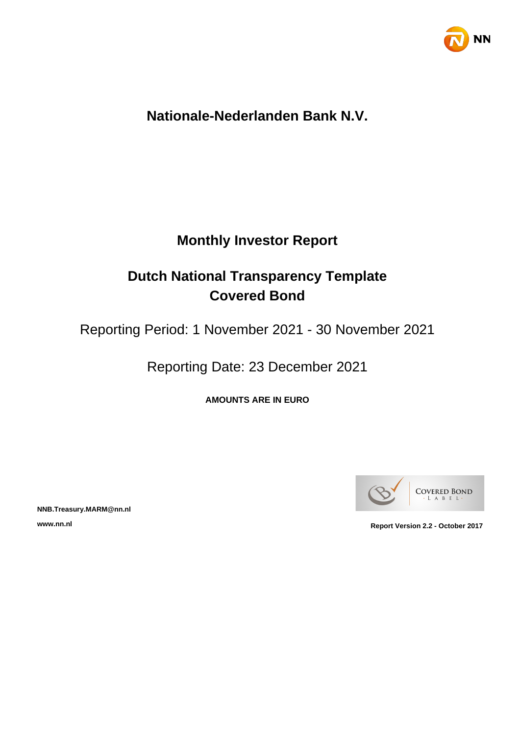

# **Nationale-Nederlanden Bank N.V.**

# **Monthly Investor Report**

# **Dutch National Transparency Template Covered Bond**

Reporting Period: 1 November 2021 - 30 November 2021

Reporting Date: 23 December 2021

**AMOUNTS ARE IN EURO**



**NNB.Treasury.MARM@nn.nl**

**www.nn.nl Report Version 2.2 - October 2017**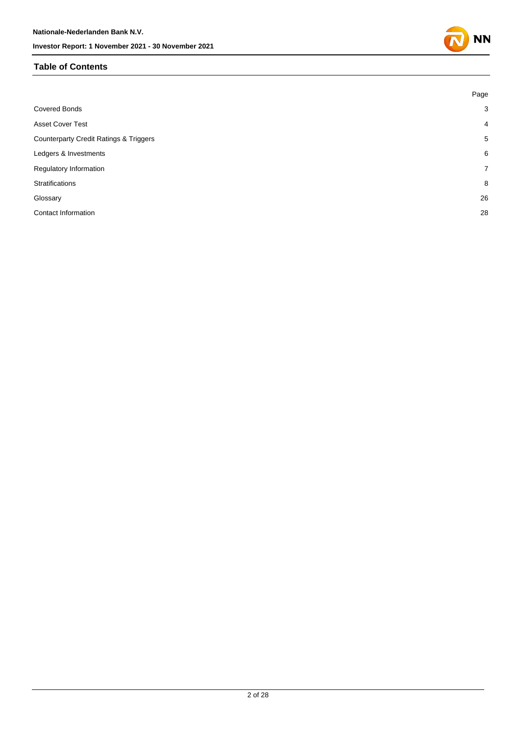### **Table of Contents**

|                                                   | Page           |
|---------------------------------------------------|----------------|
| <b>Covered Bonds</b>                              | 3              |
| Asset Cover Test                                  | $\overline{4}$ |
| <b>Counterparty Credit Ratings &amp; Triggers</b> | 5              |
| Ledgers & Investments                             | 6              |
| Regulatory Information                            | $7^{\circ}$    |
| Stratifications                                   | 8              |
| Glossary                                          | 26             |
| <b>Contact Information</b>                        | 28             |
|                                                   |                |

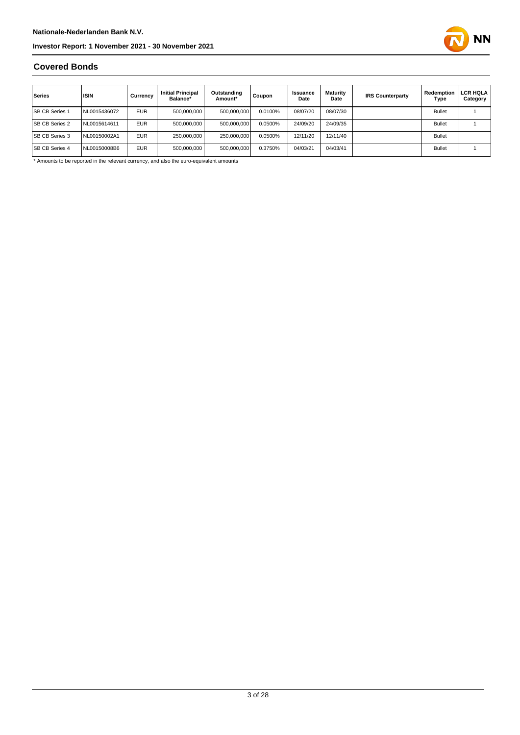

### **Covered Bonds**

| Series                | <b>ISIN</b>  | Currency   | <b>Initial Principal</b><br>Balance* | Outstanding<br>Amount* | Coupon  | Issuance<br>Date | <b>Maturity</b><br>Date | <b>IRS Counterparty</b> | Redemption<br>Type | LCR HQLA<br>Category |
|-----------------------|--------------|------------|--------------------------------------|------------------------|---------|------------------|-------------------------|-------------------------|--------------------|----------------------|
| <b>SB CB Series 1</b> | NL0015436072 | <b>EUR</b> | 500,000,000                          | 500,000,000            | 0.0100% | 08/07/20         | 08/07/30                |                         | <b>Bullet</b>      |                      |
| <b>SB CB Series 2</b> | NL0015614611 | <b>EUR</b> | 500.000.000                          | 500.000.000            | 0.0500% | 24/09/20         | 24/09/35                |                         | <b>Bullet</b>      |                      |
| <b>SB CB Series 3</b> | NL00150002A1 | <b>EUR</b> | 250,000,000                          | 250.000.000            | 0.0500% | 12/11/20         | 12/11/40                |                         | <b>Bullet</b>      |                      |
| <b>SB CB Series 4</b> | NL00150008B6 | <b>EUR</b> | 500,000,000                          | 500,000,000            | 0.3750% | 04/03/21         | 04/03/41                |                         | <b>Bullet</b>      |                      |

\* Amounts to be reported in the relevant currency, and also the euro-equivalent amounts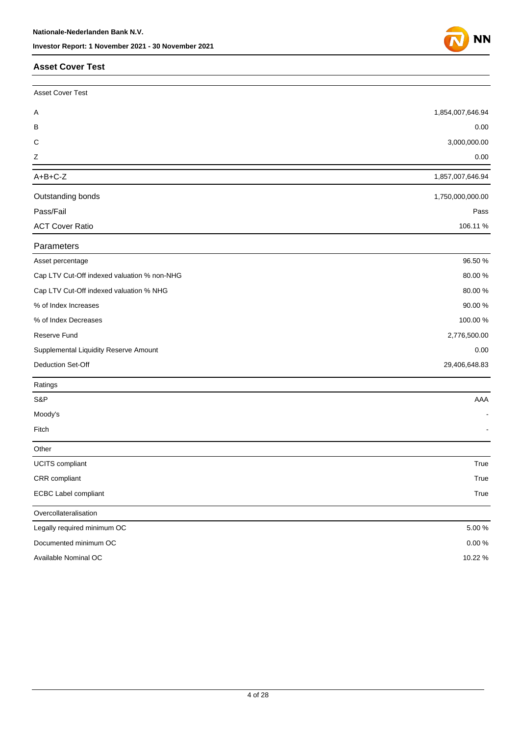#### **Asset Cover Test**

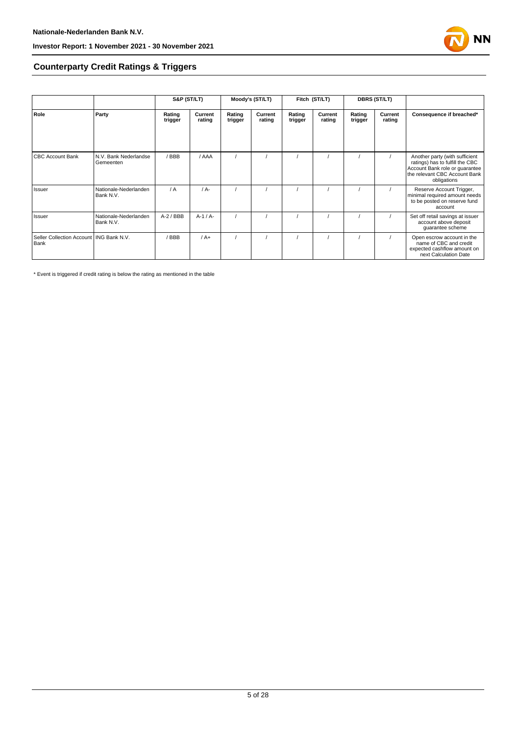

### **Counterparty Credit Ratings & Triggers**

|                                                   |                                    | S&P (ST/LT)       |                   |                   | Moody's (ST/LT)   |                   | Fitch (ST/LT)     |                   | <b>DBRS (ST/LT)</b> |                                                                                                                                                     |  |
|---------------------------------------------------|------------------------------------|-------------------|-------------------|-------------------|-------------------|-------------------|-------------------|-------------------|---------------------|-----------------------------------------------------------------------------------------------------------------------------------------------------|--|
| Role                                              | Party                              | Rating<br>trigger | Current<br>rating | Rating<br>trigger | Current<br>rating | Rating<br>trigger | Current<br>rating | Rating<br>trigger | Current<br>rating   | Consequence if breached*                                                                                                                            |  |
| <b>CBC Account Bank</b>                           | N.V. Bank Nederlandse<br>Gemeenten | / BBB             | / AAA             |                   |                   |                   |                   |                   |                     | Another party (with sufficient<br>ratings) has to fulfill the CBC<br>Account Bank role or guarantee<br>the relevant CBC Account Bank<br>obligations |  |
| Issuer                                            | Nationale-Nederlanden<br>Bank N.V. | $\sqrt{A}$        | $/A -$            |                   |                   |                   |                   |                   |                     | Reserve Account Trigger,<br>minimal required amount needs<br>to be posted on reserve fund<br>account                                                |  |
| Issuer                                            | Nationale-Nederlanden<br>Bank N.V. | $A-2$ / BBB       | $A-1/A-$          |                   |                   |                   |                   |                   |                     | Set off retail savings at issuer<br>account above deposit<br>guarantee scheme                                                                       |  |
| Seller Collection Account   ING Bank N.V.<br>Bank |                                    | / BBB             | $/A+$             |                   |                   |                   |                   |                   |                     | Open escrow account in the<br>name of CBC and credit<br>expected cashflow amount on<br>next Calculation Date                                        |  |

\* Event is triggered if credit rating is below the rating as mentioned in the table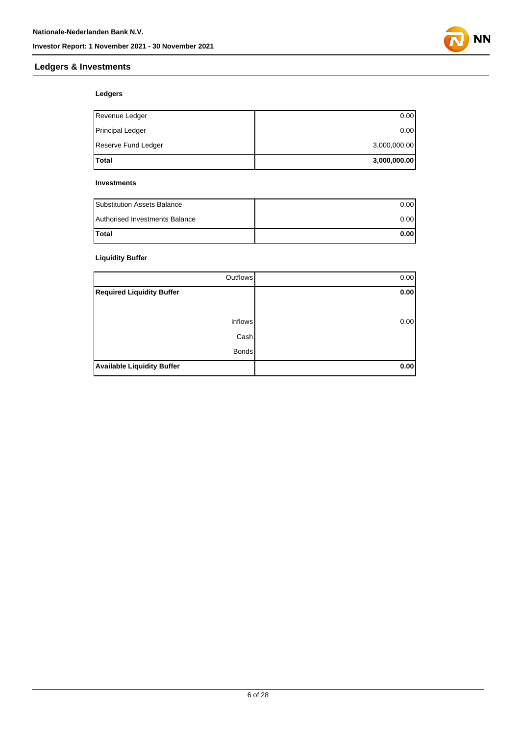

### **Ledgers & Investments**

### **Ledgers**

| Total               | 3,000,000.00 |
|---------------------|--------------|
| Reserve Fund Ledger | 3,000,000.00 |
| Principal Ledger    | 0.00         |
| Revenue Ledger      | 0.00         |

#### **Investments**

| <b>Substitution Assets Balance</b> | 0.001 |
|------------------------------------|-------|
| Authorised Investments Balance     | 0.001 |
| <b>Total</b>                       | 0.001 |

### **Liquidity Buffer**

| Outflows                          | 0.00 |
|-----------------------------------|------|
| <b>Required Liquidity Buffer</b>  | 0.00 |
|                                   |      |
| <b>Inflows</b>                    | 0.00 |
| Cash                              |      |
| <b>Bonds</b>                      |      |
| <b>Available Liquidity Buffer</b> | 0.00 |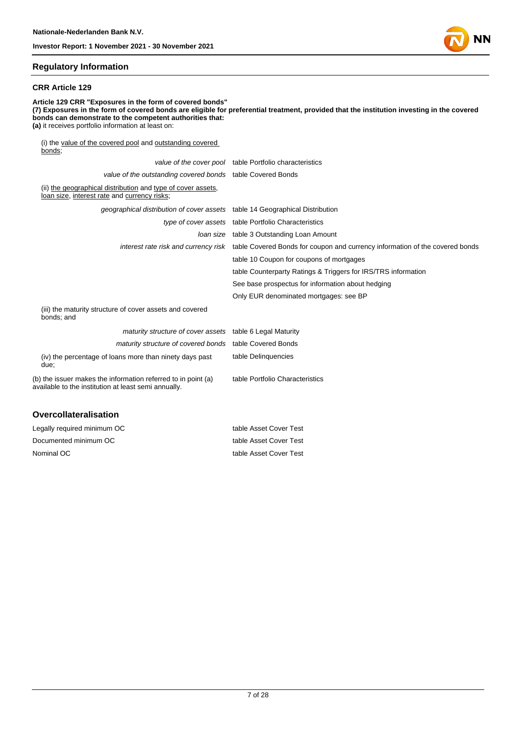

#### **Regulatory Information**

#### **CRR Article 129**

**Article 129 CRR "Exposures in the form of covered bonds" (7) Exposures in the form of covered bonds are eligible for preferential treatment, provided that the institution investing in the covered bonds can demonstrate to the competent authorities that: (a)** it receives portfolio information at least on: (i) the value of the covered pool and outstanding covered bonds; value of the cover pool table Portfolio characteristics value of the outstanding covered bonds table Covered Bonds (ii) the geographical distribution and type of cover assets, loan size, interest rate and currency risks; geographical distribution of cover assets table 14 Geographical Distribution type of cover assets table Portfolio Characteristics loan size table 3 Outstanding Loan Amount interest rate risk and currency risk table Covered Bonds for coupon and currency information of the covered bonds table 10 Coupon for coupons of mortgages table Counterparty Ratings & Triggers for IRS/TRS information See base prospectus for information about hedging Only EUR denominated mortgages: see BP (iii) the maturity structure of cover assets and covered bonds; and maturity structure of cover assets table 6 Legal Maturity maturity structure of covered bonds table Covered Bonds (iv) the percentage of loans more than ninety days past due; table Delinquencies table Portfolio Characteristics

(b) the issuer makes the information referred to in point (a) available to the institution at least semi annually.

#### **Overcollateralisation**

| Legally required minimum OC | table Asset Cover Test |
|-----------------------------|------------------------|
| Documented minimum OC       | table Asset Cover Test |
| Nominal OC                  | table Asset Cover Test |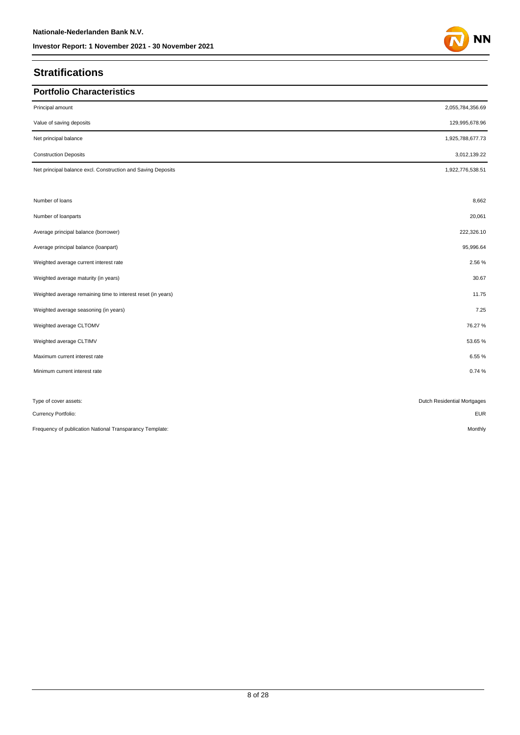# **Stratifications**

| <b>Portfolio Characteristics</b>                             |                             |
|--------------------------------------------------------------|-----------------------------|
| Principal amount                                             | 2,055,784,356.69            |
| Value of saving deposits                                     | 129,995,678.96              |
| Net principal balance                                        | 1,925,788,677.73            |
| <b>Construction Deposits</b>                                 | 3,012,139.22                |
| Net principal balance excl. Construction and Saving Deposits | 1,922,776,538.51            |
| Number of loans                                              | 8,662                       |
| Number of loanparts                                          | 20,061                      |
| Average principal balance (borrower)                         | 222,326.10                  |
| Average principal balance (loanpart)                         | 95,996.64                   |
| Weighted average current interest rate                       | 2.56 %                      |
| Weighted average maturity (in years)                         | 30.67                       |
| Weighted average remaining time to interest reset (in years) | 11.75                       |
| Weighted average seasoning (in years)                        | 7.25                        |
| Weighted average CLTOMV                                      | 76.27%                      |
| Weighted average CLTIMV                                      | 53.65%                      |
| Maximum current interest rate                                | 6.55%                       |
| Minimum current interest rate                                | 0.74%                       |
|                                                              |                             |
| Type of cover assets:                                        | Dutch Residential Mortgages |
| Currency Portfolio:                                          | <b>EUR</b>                  |
| Frequency of publication National Transparancy Template:     | Monthly                     |

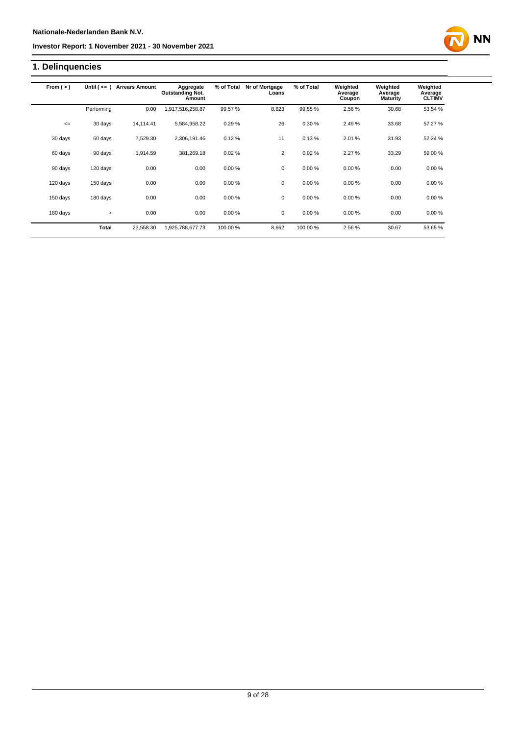# **1. Delinquencies**

| From $(>)$ | Until $($ <= $)$ | <b>Arrears Amount</b> | Aggregate<br><b>Outstanding Not.</b><br>Amount | % of Total | Nr of Mortgage<br>Loans | % of Total | Weighted<br>Average<br>Coupon | Weighted<br>Average<br><b>Maturity</b> | Weighted<br>Average<br><b>CLTIMV</b> |
|------------|------------------|-----------------------|------------------------------------------------|------------|-------------------------|------------|-------------------------------|----------------------------------------|--------------------------------------|
|            | Performing       | 0.00                  | 1,917,516,258.87                               | 99.57 %    | 8,623                   | 99.55 %    | 2.56 %                        | 30.68                                  | 53.54 %                              |
| $\leq$     | 30 days          | 14,114.41             | 5,584,958.22                                   | 0.29%      | 26                      | 0.30%      | 2.49%                         | 33.68                                  | 57.27 %                              |
| 30 days    | 60 days          | 7,529.30              | 2,306,191.46                                   | 0.12%      | 11                      | 0.13%      | 2.01%                         | 31.93                                  | 52.24 %                              |
| 60 days    | 90 days          | 1.914.59              | 381,269.18                                     | 0.02%      | $\overline{2}$          | 0.02%      | 2.27%                         | 33.29                                  | 59.00 %                              |
| 90 days    | 120 days         | 0.00                  | 0.00                                           | 0.00%      | 0                       | 0.00%      | 0.00%                         | 0.00                                   | 0.00%                                |
| 120 days   | 150 days         | 0.00                  | 0.00                                           | 0.00%      | $\mathbf 0$             | 0.00%      | 0.00%                         | 0.00                                   | 0.00%                                |
| 150 days   | 180 days         | 0.00                  | 0.00                                           | 0.00%      | $\mathbf 0$             | 0.00%      | 0.00%                         | 0.00                                   | 0.00%                                |
| 180 days   | $\geq$           | 0.00                  | 0.00                                           | 0.00%      | $\mathbf 0$             | 0.00%      | 0.00%                         | 0.00                                   | 0.00%                                |
|            | Total            | 23,558.30             | 1,925,788,677.73                               | 100.00%    | 8,662                   | 100.00%    | 2.56%                         | 30.67                                  | 53.65%                               |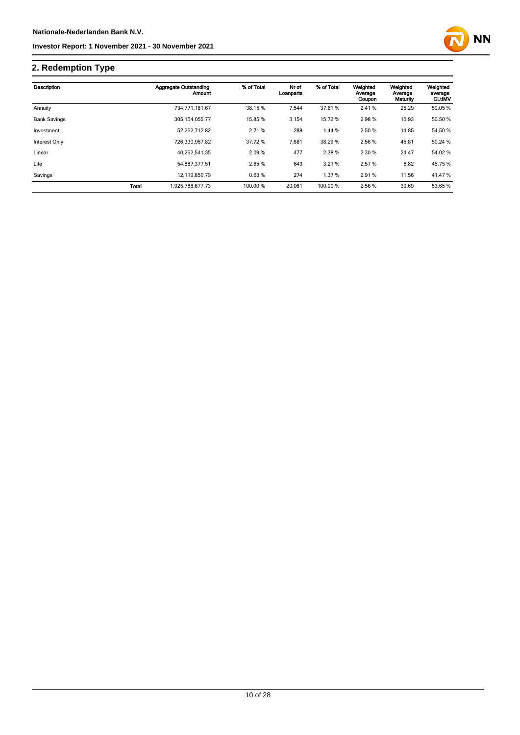

# **2. Redemption Type**

| Description         |              | Aggregate Outstanding<br>Amount | % of Total | Nr of<br>Loanparts | % of Total | Weighted<br>Average<br>Coupon | Weighted<br>Average<br>Maturity | Weighted<br>average<br><b>CLUMV</b> |
|---------------------|--------------|---------------------------------|------------|--------------------|------------|-------------------------------|---------------------------------|-------------------------------------|
| Annuity             |              | 734,771,181.67                  | 38.15 %    | 7,544              | 37.61 %    | 2.41 %                        | 25.29                           | 59.05 %                             |
| <b>Bank Savings</b> |              | 305.154.055.77                  | 15.85 %    | 3,154              | 15.72 %    | 2.98%                         | 15.93                           | 50.50 %                             |
| Investment          |              | 52.262.712.82                   | 2.71 %     | 288                | 1.44 %     | 2.50 %                        | 14.85                           | 54.50 %                             |
| Interest Only       |              | 726.330.957.82                  | 37.72 %    | 7,681              | 38.29 %    | 2.56 %                        | 45.81                           | 50.24 %                             |
| Linear              |              | 40.262.541.35                   | 2.09%      | 477                | 2.38 %     | 2.30 %                        | 24.47                           | 54.02 %                             |
| Life                |              | 54.887.377.51                   | 2.85%      | 643                | 3.21%      | 2.57%                         | 8.82                            | 45.75 %                             |
| Savings             |              | 12,119,850.79                   | 0.63%      | 274                | 1.37 %     | 2.91 %                        | 11.56                           | 41.47 %                             |
|                     | <b>Total</b> | 1,925,788,677.73                | 100.00 %   | 20,061             | 100.00 %   | 2.56 %                        | 30.69                           | 53.65 %                             |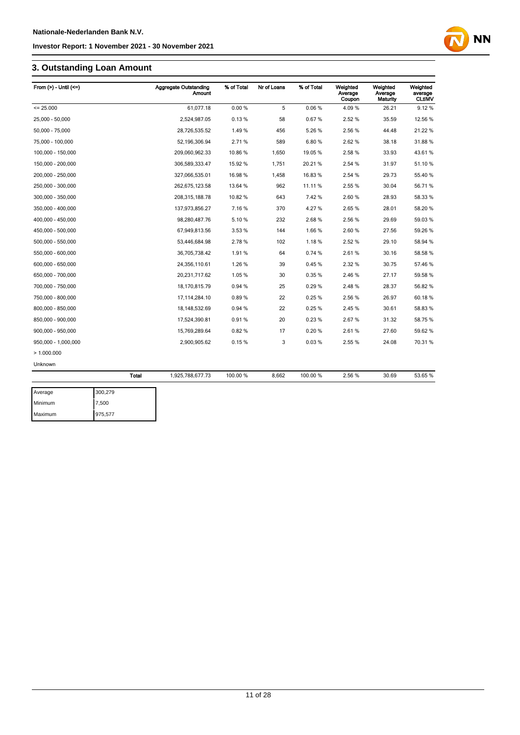# **3. Outstanding Loan Amount**

| From $(>)$ - Until $(<=)$ |         | <b>Aggregate Outstanding</b><br>Amount | % of Total | Nr of Loans | % of Total | Weighted<br>Average<br>Coupon | Weighted<br>Average<br>Maturity | Weighted<br>average<br><b>CLtIMV</b> |
|---------------------------|---------|----------------------------------------|------------|-------------|------------|-------------------------------|---------------------------------|--------------------------------------|
| $= 25.000$                |         | 61.077.18                              | 0.00%      | 5           | 0.06%      | 4.09%                         | 26.21                           | 9.12%                                |
| 25,000 - 50,000           |         | 2,524,987.05                           | 0.13%      | 58          | 0.67%      | 2.52%                         | 35.59                           | 12.56 %                              |
| 50,000 - 75,000           |         | 28,726,535.52                          | 1.49%      | 456         | 5.26%      | 2.56%                         | 44.48                           | 21.22 %                              |
| 75,000 - 100,000          |         | 52, 196, 306.94                        | 2.71%      | 589         | 6.80%      | 2.62%                         | 38.18                           | 31.88 %                              |
| 100,000 - 150,000         |         | 209,060,962.33                         | 10.86 %    | 1,650       | 19.05%     | 2.58%                         | 33.93                           | 43.61%                               |
| 150,000 - 200,000         |         | 306,589,333.47                         | 15.92 %    | 1,751       | 20.21%     | 2.54 %                        | 31.97                           | 51.10 %                              |
| 200,000 - 250,000         |         | 327,066,535.01                         | 16.98 %    | 1,458       | 16.83%     | 2.54 %                        | 29.73                           | 55.40 %                              |
| 250,000 - 300,000         |         | 262,675,123.58                         | 13.64 %    | 962         | 11.11%     | 2.55 %                        | 30.04                           | 56.71%                               |
| 300,000 - 350,000         |         | 208,315,188.78                         | 10.82 %    | 643         | 7.42%      | 2.60%                         | 28.93                           | 58.33 %                              |
| 350,000 - 400,000         |         | 137,973,856.27                         | 7.16%      | 370         | 4.27%      | 2.65%                         | 28.01                           | 58.20%                               |
| 400,000 - 450,000         |         | 98,280,487.76                          | 5.10%      | 232         | 2.68%      | 2.56%                         | 29.69                           | 59.03 %                              |
| 450,000 - 500,000         |         | 67,949,813.56                          | 3.53 %     | 144         | 1.66%      | 2.60%                         | 27.56                           | 59.26 %                              |
| 500,000 - 550,000         |         | 53,446,684.98                          | 2.78%      | 102         | 1.18%      | 2.52%                         | 29.10                           | 58.94 %                              |
| 550,000 - 600,000         |         | 36,705,738.42                          | 1.91%      | 64          | 0.74%      | 2.61%                         | 30.16                           | 58.58 %                              |
| 600,000 - 650,000         |         | 24,356,110.61                          | 1.26 %     | 39          | 0.45%      | 2.32 %                        | 30.75                           | 57.46 %                              |
| 650,000 - 700,000         |         | 20,231,717.62                          | 1.05%      | 30          | 0.35%      | 2.46%                         | 27.17                           | 59.58 %                              |
| 700,000 - 750,000         |         | 18,170,815.79                          | 0.94 %     | 25          | 0.29%      | 2.48%                         | 28.37                           | 56.82 %                              |
| 750,000 - 800,000         |         | 17, 114, 284. 10                       | 0.89%      | 22          | 0.25%      | 2.56%                         | 26.97                           | 60.18%                               |
| 800,000 - 850,000         |         | 18, 148, 532.69                        | 0.94%      | 22          | 0.25%      | 2.45%                         | 30.61                           | 58.83%                               |
| 850,000 - 900,000         |         | 17,524,390.81                          | 0.91%      | 20          | 0.23%      | 2.67%                         | 31.32                           | 58.75 %                              |
| 900,000 - 950,000         |         | 15,769,289.64                          | 0.82%      | 17          | 0.20%      | 2.61%                         | 27.60                           | 59.62 %                              |
| 950,000 - 1,000,000       |         | 2,900,905.62                           | 0.15%      | 3           | 0.03%      | 2.55 %                        | 24.08                           | 70.31 %                              |
| >1.000.000                |         |                                        |            |             |            |                               |                                 |                                      |
| Unknown                   |         |                                        |            |             |            |                               |                                 |                                      |
|                           | Total   | 1,925,788,677.73                       | 100.00 %   | 8,662       | 100.00%    | 2.56%                         | 30.69                           | 53.65 %                              |
| Average                   | 300,279 |                                        |            |             |            |                               |                                 |                                      |

| Average | 300,279 |
|---------|---------|
| Minimum | 7,500   |
| Maximum | 975,577 |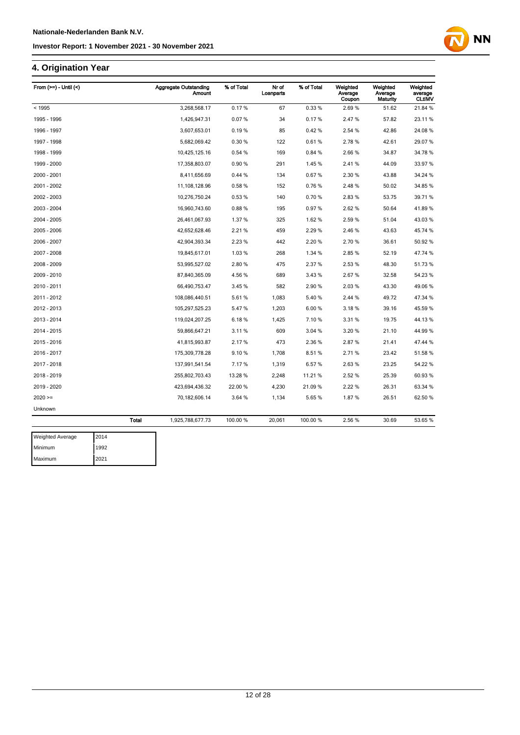### **4. Origination Year**

| From $(>=)$ - Until $($ |              | <b>Aggregate Outstanding</b><br><b>Amount</b> | % of Total | Nr of<br>Loanparts | % of Total | Weighted<br>Average<br>Coupon | Weighted<br>Average<br>Maturity | Weighted<br>average<br><b>CLtIMV</b> |
|-------------------------|--------------|-----------------------------------------------|------------|--------------------|------------|-------------------------------|---------------------------------|--------------------------------------|
| < 1995                  |              | 3,268,568.17                                  | 0.17%      | 67                 | 0.33%      | 2.69%                         | 51.62                           | 21.84 %                              |
| 1995 - 1996             |              | 1,426,947.31                                  | 0.07%      | 34                 | 0.17%      | 2.47%                         | 57.82                           | 23.11%                               |
| 1996 - 1997             |              | 3,607,653.01                                  | 0.19%      | 85                 | 0.42%      | 2.54 %                        | 42.86                           | 24.08%                               |
| 1997 - 1998             |              | 5,682,069.42                                  | 0.30%      | 122                | 0.61%      | 2.78%                         | 42.61                           | 29.07%                               |
| 1998 - 1999             |              | 10,425,125.16                                 | 0.54%      | 169                | 0.84%      | 2.66%                         | 34.87                           | 34.78%                               |
| 1999 - 2000             |              | 17,358,803.07                                 | 0.90%      | 291                | 1.45%      | 2.41%                         | 44.09                           | 33.97 %                              |
| 2000 - 2001             |              | 8,411,656.69                                  | 0.44%      | 134                | 0.67%      | 2.30 %                        | 43.88                           | 34.24 %                              |
| 2001 - 2002             |              | 11,108,128.96                                 | 0.58%      | 152                | 0.76%      | 2.48%                         | 50.02                           | 34.85 %                              |
| 2002 - 2003             |              | 10,276,750.24                                 | 0.53%      | 140                | 0.70%      | 2.83%                         | 53.75                           | 39.71 %                              |
| 2003 - 2004             |              | 16,960,743.60                                 | 0.88%      | 195                | 0.97%      | 2.62%                         | 50.64                           | 41.89%                               |
| 2004 - 2005             |              | 26,461,067.93                                 | 1.37%      | 325                | 1.62%      | 2.59%                         | 51.04                           | 43.03%                               |
| 2005 - 2006             |              | 42,652,628.46                                 | 2.21%      | 459                | 2.29%      | 2.46 %                        | 43.63                           | 45.74 %                              |
| 2006 - 2007             |              | 42,904,393.34                                 | 2.23 %     | 442                | 2.20%      | 2.70%                         | 36.61                           | 50.92 %                              |
| 2007 - 2008             |              | 19,845,617.01                                 | 1.03%      | 268                | 1.34 %     | 2.85%                         | 52.19                           | 47.74 %                              |
| 2008 - 2009             |              | 53,995,527.02                                 | 2.80%      | 475                | 2.37%      | 2.53%                         | 48.30                           | 51.73%                               |
| 2009 - 2010             |              | 87,840,365.09                                 | 4.56%      | 689                | 3.43%      | 2.67%                         | 32.58                           | 54.23 %                              |
| 2010 - 2011             |              | 66,490,753.47                                 | 3.45%      | 582                | 2.90%      | 2.03%                         | 43.30                           | 49.06%                               |
| 2011 - 2012             |              | 108,086,440.51                                | 5.61%      | 1,083              | 5.40%      | 2.44 %                        | 49.72                           | 47.34 %                              |
| 2012 - 2013             |              | 105,297,525.23                                | 5.47%      | 1,203              | 6.00%      | 3.18%                         | 39.16                           | 45.59 %                              |
| 2013 - 2014             |              | 119,024,207.25                                | 6.18%      | 1,425              | 7.10%      | 3.31 %                        | 19.75                           | 44.13%                               |
| 2014 - 2015             |              | 59,866,647.21                                 | 3.11%      | 609                | 3.04 %     | 3.20%                         | 21.10                           | 44.99%                               |
| 2015 - 2016             |              | 41,815,993.87                                 | 2.17%      | 473                | 2.36 %     | 2.87%                         | 21.41                           | 47.44 %                              |
| 2016 - 2017             |              | 175,309,778.28                                | 9.10%      | 1,708              | 8.51%      | 2.71%                         | 23.42                           | 51.58 %                              |
| 2017 - 2018             |              | 137,991,541.54                                | 7.17%      | 1,319              | 6.57%      | 2.63%                         | 23.25                           | 54.22 %                              |
| 2018 - 2019             |              | 255,802,703.43                                | 13.28 %    | 2,248              | 11.21%     | 2.52%                         | 25.39                           | 60.93%                               |
| 2019 - 2020             |              | 423,694,436.32                                | 22.00 %    | 4,230              | 21.09 %    | 2.22 %                        | 26.31                           | 63.34 %                              |
| $2020 =$                |              | 70,182,606.14                                 | 3.64 %     | 1,134              | 5.65%      | 1.87%                         | 26.51                           | 62.50 %                              |
| Unknown                 |              |                                               |            |                    |            |                               |                                 |                                      |
|                         | <b>Total</b> | 1,925,788,677.73                              | 100.00 %   | 20,061             | 100.00 %   | 2.56 %                        | 30.69                           | 53.65 %                              |

| <b>Weighted Average</b> | 2014 |
|-------------------------|------|
| Minimum                 | 1992 |
| Maximum                 | 2021 |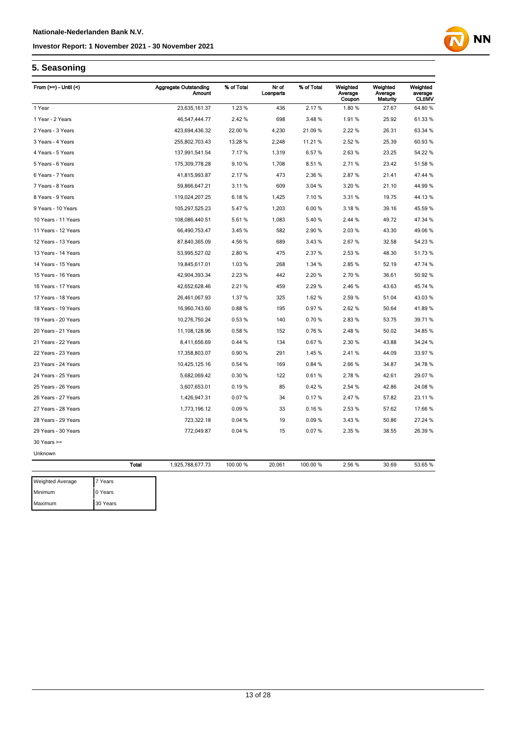

# **5. Seasoning**

| From $(>=)$ - Until $($ |         | <b>Aggregate Outstanding</b><br>Amount | % of Total | Nr of<br>Loanparts | % of Total | Weighted<br>Average<br>Coupon | Weighted<br>Average<br>Maturity | Weighted<br>average<br><b>CLtIMV</b> |
|-------------------------|---------|----------------------------------------|------------|--------------------|------------|-------------------------------|---------------------------------|--------------------------------------|
| 1 Year                  |         | 23,635,161.37                          | 1.23 %     | 436                | 2.17%      | 1.80%                         | 27.67                           | 64.80 %                              |
| 1 Year - 2 Years        |         | 46,547,444.77                          | 2.42 %     | 698                | 3.48%      | 1.91%                         | 25.92                           | 61.33 %                              |
| 2 Years - 3 Years       |         | 423,694,436.32                         | 22.00 %    | 4,230              | 21.09%     | 2.22 %                        | 26.31                           | 63.34 %                              |
| 3 Years - 4 Years       |         | 255,802,703.43                         | 13.28 %    | 2,248              | 11.21 %    | 2.52 %                        | 25.39                           | 60.93%                               |
| 4 Years - 5 Years       |         | 137,991,541.54                         | 7.17%      | 1,319              | 6.57%      | 2.63%                         | 23.25                           | 54.22 %                              |
| 5 Years - 6 Years       |         | 175,309,778.28                         | 9.10%      | 1,708              | 8.51%      | 2.71%                         | 23.42                           | 51.58 %                              |
| 6 Years - 7 Years       |         | 41,815,993.87                          | 2.17 %     | 473                | 2.36 %     | 2.87%                         | 21.41                           | 47.44 %                              |
| 7 Years - 8 Years       |         | 59,866,647.21                          | 3.11%      | 609                | 3.04 %     | 3.20%                         | 21.10                           | 44.99%                               |
| 8 Years - 9 Years       |         | 119,024,207.25                         | 6.18%      | 1,425              | 7.10%      | 3.31 %                        | 19.75                           | 44.13%                               |
| 9 Years - 10 Years      |         | 105,297,525.23                         | 5.47%      | 1,203              | 6.00%      | 3.18%                         | 39.16                           | 45.59 %                              |
| 10 Years - 11 Years     |         | 108,086,440.51                         | 5.61%      | 1,083              | 5.40 %     | 2.44 %                        | 49.72                           | 47.34 %                              |
| 11 Years - 12 Years     |         | 66,490,753.47                          | 3.45 %     | 582                | 2.90 %     | 2.03%                         | 43.30                           | 49.06%                               |
| 12 Years - 13 Years     |         | 87,840,365.09                          | 4.56%      | 689                | 3.43%      | 2.67%                         | 32.58                           | 54.23 %                              |
| 13 Years - 14 Years     |         | 53,995,527.02                          | 2.80%      | 475                | 2.37%      | 2.53%                         | 48.30                           | 51.73 %                              |
| 14 Years - 15 Years     |         | 19,845,617.01                          | 1.03%      | 268                | 1.34 %     | 2.85%                         | 52.19                           | 47.74 %                              |
| 15 Years - 16 Years     |         | 42,904,393.34                          | 2.23 %     | 442                | 2.20%      | 2.70%                         | 36.61                           | 50.92 %                              |
| 16 Years - 17 Years     |         | 42,652,628.46                          | 2.21 %     | 459                | 2.29 %     | 2.46%                         | 43.63                           | 45.74 %                              |
| 17 Years - 18 Years     |         | 26,461,067.93                          | 1.37 %     | 325                | 1.62 %     | 2.59 %                        | 51.04                           | 43.03%                               |
| 18 Years - 19 Years     |         | 16,960,743.60                          | 0.88%      | 195                | 0.97%      | 2.62%                         | 50.64                           | 41.89%                               |
| 19 Years - 20 Years     |         | 10,276,750.24                          | 0.53%      | 140                | 0.70%      | 2.83%                         | 53.75                           | 39.71 %                              |
| 20 Years - 21 Years     |         | 11,108,128.96                          | 0.58%      | 152                | 0.76%      | 2.48%                         | 50.02                           | 34.85 %                              |
| 21 Years - 22 Years     |         | 8,411,656.69                           | 0.44%      | 134                | 0.67%      | 2.30 %                        | 43.88                           | 34.24 %                              |
| 22 Years - 23 Years     |         | 17,358,803.07                          | 0.90%      | 291                | 1.45%      | 2.41%                         | 44.09                           | 33.97 %                              |
| 23 Years - 24 Years     |         | 10,425,125.16                          | 0.54%      | 169                | 0.84 %     | 2.66%                         | 34.87                           | 34.78 %                              |
| 24 Years - 25 Years     |         | 5,682,069.42                           | 0.30%      | 122                | 0.61%      | 2.78%                         | 42.61                           | 29.07 %                              |
| 25 Years - 26 Years     |         | 3,607,653.01                           | 0.19%      | 85                 | 0.42%      | 2.54 %                        | 42.86                           | 24.08%                               |
| 26 Years - 27 Years     |         | 1,426,947.31                           | 0.07%      | 34                 | 0.17%      | 2.47%                         | 57.82                           | 23.11 %                              |
| 27 Years - 28 Years     |         | 1,773,196.12                           | 0.09%      | 33                 | 0.16%      | 2.53 %                        | 57.62                           | 17.66 %                              |
| 28 Years - 29 Years     |         | 723,322.18                             | 0.04%      | 19                 | 0.09%      | 3.43 %                        | 50.86                           | 27.24 %                              |
| 29 Years - 30 Years     |         | 772,049.87                             | 0.04%      | 15                 | 0.07%      | 2.35 %                        | 38.55                           | 26.39 %                              |
| $30$ Years $>=$         |         |                                        |            |                    |            |                               |                                 |                                      |
| Unknown                 |         |                                        |            |                    |            |                               |                                 |                                      |
|                         | Total   | 1,925,788,677.73                       | 100.00 %   | 20,061             | 100.00 %   | 2.56 %                        | 30.69                           | 53.65 %                              |
| <b>Weighted Average</b> | 7 Years |                                        |            |                    |            |                               |                                 |                                      |
| Minimum                 | 0 Years |                                        |            |                    |            |                               |                                 |                                      |

Maximum 30 Years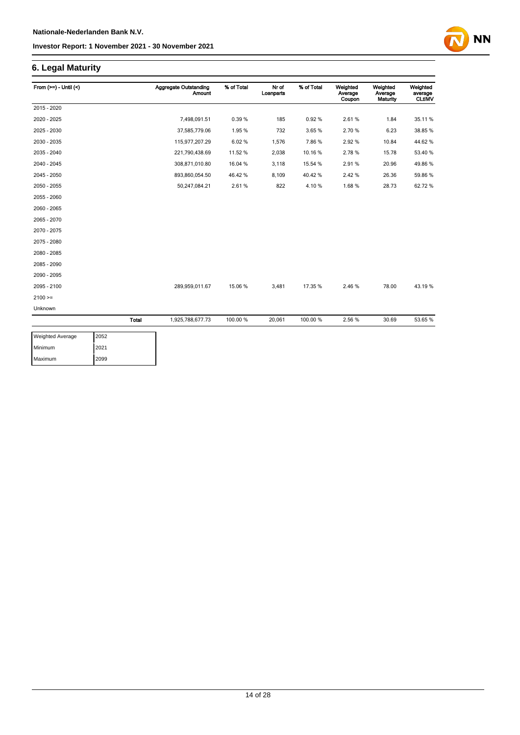

| From $(>=) -$ Until $($ |              | <b>Aggregate Outstanding</b><br><b>Amount</b> | % of Total | Nr of<br>Loanparts | % of Total | Weighted<br>Average<br>Coupon | Weighted<br>Average<br><b>Maturity</b> | Weighted<br>average<br><b>CLtIMV</b> |
|-------------------------|--------------|-----------------------------------------------|------------|--------------------|------------|-------------------------------|----------------------------------------|--------------------------------------|
| 2015 - 2020             |              |                                               |            |                    |            |                               |                                        |                                      |
| 2020 - 2025             |              | 7,498,091.51                                  | 0.39%      | 185                | 0.92%      | 2.61%                         | 1.84                                   | 35.11 %                              |
| 2025 - 2030             |              | 37,585,779.06                                 | 1.95%      | 732                | 3.65%      | 2.70%                         | 6.23                                   | 38.85 %                              |
| 2030 - 2035             |              | 115,977,207.29                                | 6.02%      | 1,576              | 7.86%      | 2.92%                         | 10.84                                  | 44.62%                               |
| 2035 - 2040             |              | 221,790,438.69                                | 11.52 %    | 2,038              | 10.16%     | 2.78%                         | 15.78                                  | 53.40 %                              |
| 2040 - 2045             |              | 308,871,010.80                                | 16.04 %    | 3,118              | 15.54 %    | 2.91%                         | 20.96                                  | 49.86%                               |
| 2045 - 2050             |              | 893,860,054.50                                | 46.42%     | 8,109              | 40.42%     | 2.42%                         | 26.36                                  | 59.86 %                              |
| 2050 - 2055             |              | 50,247,084.21                                 | 2.61%      | 822                | 4.10%      | 1.68%                         | 28.73                                  | 62.72%                               |
| 2055 - 2060             |              |                                               |            |                    |            |                               |                                        |                                      |
| 2060 - 2065             |              |                                               |            |                    |            |                               |                                        |                                      |
| 2065 - 2070             |              |                                               |            |                    |            |                               |                                        |                                      |
| 2070 - 2075             |              |                                               |            |                    |            |                               |                                        |                                      |
| 2075 - 2080             |              |                                               |            |                    |            |                               |                                        |                                      |
| 2080 - 2085             |              |                                               |            |                    |            |                               |                                        |                                      |
| 2085 - 2090             |              |                                               |            |                    |            |                               |                                        |                                      |
| 2090 - 2095             |              |                                               |            |                    |            |                               |                                        |                                      |
| 2095 - 2100             |              | 289,959,011.67                                | 15.06 %    | 3,481              | 17.35 %    | 2.46%                         | 78.00                                  | 43.19%                               |
| $2100 =$                |              |                                               |            |                    |            |                               |                                        |                                      |
| Unknown                 |              |                                               |            |                    |            |                               |                                        |                                      |
|                         | <b>Total</b> | 1,925,788,677.73                              | 100.00 %   | 20,061             | 100.00 %   | 2.56%                         | 30.69                                  | 53.65 %                              |

| <b>Weighted Average</b> | 2052 |
|-------------------------|------|
| Minimum                 | 2021 |
| Maximum                 | 2099 |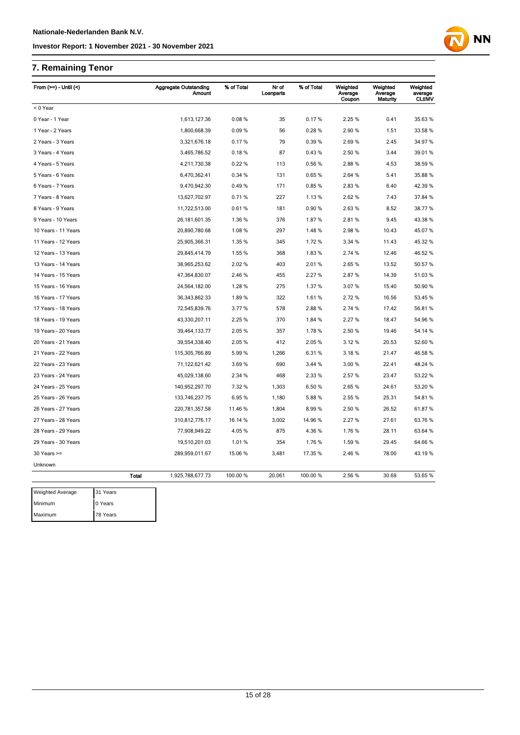# **7. Remaining Tenor**

| From $(>=)$ - Until $($ |          |              | <b>Aggregate Outstanding</b><br><b>Amount</b> | % of Total | Nr of<br>Loanparts | % of Total | Weighted<br>Average<br>Coupon | Weighted<br>Average<br>Maturity | Weighted<br>average<br><b>CLtIMV</b> |
|-------------------------|----------|--------------|-----------------------------------------------|------------|--------------------|------------|-------------------------------|---------------------------------|--------------------------------------|
| < 0 Year                |          |              |                                               |            |                    |            |                               |                                 |                                      |
| 0 Year - 1 Year         |          |              | 1,613,127.36                                  | 0.08%      | 35                 | 0.17%      | 2.25 %                        | 0.41                            | 35.63 %                              |
| 1 Year - 2 Years        |          |              | 1,800,668.39                                  | 0.09%      | 56                 | 0.28%      | 2.90%                         | 1.51                            | 33.58 %                              |
| 2 Years - 3 Years       |          |              | 3,321,676.18                                  | 0.17%      | 79                 | 0.39%      | 2.69%                         | 2.45                            | 34.97 %                              |
| 3 Years - 4 Years       |          |              | 3,465,786.52                                  | 0.18%      | 87                 | 0.43%      | 2.50 %                        | 3.44                            | 39.01 %                              |
| 4 Years - 5 Years       |          |              | 4,211,730.38                                  | 0.22%      | 113                | 0.56%      | 2.88%                         | 4.53                            | 38.59 %                              |
| 5 Years - 6 Years       |          |              | 6,470,362.41                                  | 0.34%      | 131                | 0.65%      | 2.64 %                        | 5.41                            | 35.88 %                              |
| 6 Years - 7 Years       |          |              | 9,470,942.30                                  | 0.49%      | 171                | 0.85%      | 2.83%                         | 6.40                            | 42.39 %                              |
| 7 Years - 8 Years       |          |              | 13,627,702.97                                 | 0.71%      | 227                | 1.13 %     | 2.62 %                        | 7.43                            | 37.84 %                              |
| 8 Years - 9 Years       |          |              | 11,722,513.00                                 | 0.61%      | 181                | 0.90%      | 2.63%                         | 8.52                            | 38.77 %                              |
| 9 Years - 10 Years      |          |              | 26, 181, 601. 35                              | 1.36 %     | 376                | 1.87%      | 2.81%                         | 9.45                            | 43.38 %                              |
| 10 Years - 11 Years     |          |              | 20,890,780.68                                 | 1.08%      | 297                | 1.48%      | 2.98%                         | 10.43                           | 45.07%                               |
| 11 Years - 12 Years     |          |              | 25,905,366.31                                 | 1.35 %     | 345                | 1.72%      | 3.34 %                        | 11.43                           | 45.32 %                              |
| 12 Years - 13 Years     |          |              | 29,845,414.79                                 | 1.55 %     | 368                | 1.83%      | 2.74 %                        | 12.46                           | 46.52 %                              |
| 13 Years - 14 Years     |          |              | 38,965,253.62                                 | 2.02%      | 403                | 2.01%      | 2.65%                         | 13.52                           | 50.57 %                              |
| 14 Years - 15 Years     |          |              | 47,364,830.07                                 | 2.46 %     | 455                | 2.27%      | 2.87%                         | 14.39                           | 51.03 %                              |
| 15 Years - 16 Years     |          |              | 24,564,182.00                                 | 1.28%      | 275                | 1.37%      | 3.07%                         | 15.40                           | 50.90 %                              |
| 16 Years - 17 Years     |          |              | 36, 343, 862. 33                              | 1.89%      | 322                | 1.61%      | 2.72%                         | 16.56                           | 53.45 %                              |
| 17 Years - 18 Years     |          |              | 72,545,839.76                                 | 3.77%      | 578                | 2.88%      | 2.74 %                        | 17.42                           | 56.81%                               |
| 18 Years - 19 Years     |          |              | 43,330,207.11                                 | 2.25 %     | 370                | 1.84 %     | 2.27 %                        | 18.47                           | 54.96 %                              |
| 19 Years - 20 Years     |          |              | 39,464,133.77                                 | 2.05 %     | 357                | 1.78%      | 2.50 %                        | 19.46                           | 54.14 %                              |
| 20 Years - 21 Years     |          |              | 39,554,338.40                                 | 2.05%      | 412                | 2.05%      | 3.12%                         | 20.53                           | 52.60 %                              |
| 21 Years - 22 Years     |          |              | 115,305,766.89                                | 5.99%      | 1,266              | 6.31%      | 3.18%                         | 21.47                           | 46.58 %                              |
| 22 Years - 23 Years     |          |              | 71,122,621.42                                 | 3.69%      | 690                | 3.44 %     | 3.00 %                        | 22.41                           | 48.24 %                              |
| 23 Years - 24 Years     |          |              | 45,029,138.60                                 | 2.34 %     | 468                | 2.33 %     | 2.57%                         | 23.47                           | 53.22 %                              |
| 24 Years - 25 Years     |          |              | 140,952,297.70                                | 7.32 %     | 1,303              | 6.50 %     | 2.65%                         | 24.61                           | 53.20 %                              |
| 25 Years - 26 Years     |          |              | 133,746,237.75                                | 6.95%      | 1,180              | 5.88%      | 2.55 %                        | 25.31                           | 54.81%                               |
| 26 Years - 27 Years     |          |              | 220,781,357.58                                | 11.46 %    | 1,804              | 8.99%      | 2.50 %                        | 26.52                           | 61.87%                               |
| 27 Years - 28 Years     |          |              | 310,812,776.17                                | 16.14 %    | 3,002              | 14.96%     | 2.27%                         | 27.61                           | 63.76 %                              |
| 28 Years - 29 Years     |          |              | 77,908,949.22                                 | 4.05%      | 875                | 4.36 %     | 1.76%                         | 28.11                           | 63.64 %                              |
| 29 Years - 30 Years     |          |              | 19,510,201.03                                 | 1.01%      | 354                | 1.76%      | 1.59%                         | 29.45                           | 64.66%                               |
| $30$ Years $>=$         |          |              | 289,959,011.67                                | 15.06 %    | 3,481              | 17.35 %    | 2.46 %                        | 78.00                           | 43.19 %                              |
| Unknown                 |          |              |                                               |            |                    |            |                               |                                 |                                      |
|                         |          | <b>Total</b> | 1,925,788,677.73                              | 100.00 %   | 20,061             | 100.00%    | 2.56 %                        | 30.69                           | 53.65 %                              |
| <b>Weighted Average</b> | 31 Years |              |                                               |            |                    |            |                               |                                 |                                      |
| Minimum                 | 0 Years  |              |                                               |            |                    |            |                               |                                 |                                      |
| Maximum                 | 78 Years |              |                                               |            |                    |            |                               |                                 |                                      |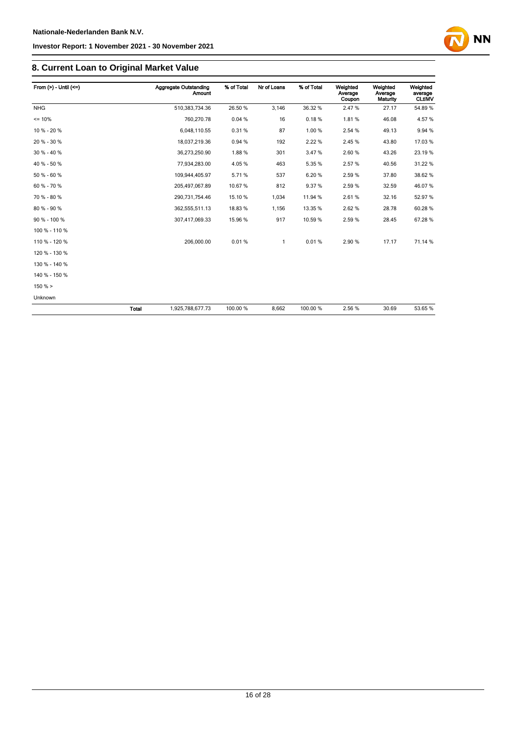# **8. Current Loan to Original Market Value**

| From $(>)$ - Until $(<=)$ |              | <b>Aggregate Outstanding</b><br><b>Amount</b> | % of Total | Nr of Loans | % of Total | Weighted<br>Average<br>Coupon | Weighted<br>Average<br>Maturity | Weighted<br>average<br><b>CLtIMV</b> |
|---------------------------|--------------|-----------------------------------------------|------------|-------------|------------|-------------------------------|---------------------------------|--------------------------------------|
| <b>NHG</b>                |              | 510,383,734.36                                | 26.50 %    | 3,146       | 36.32 %    | 2.47%                         | 27.17                           | 54.89%                               |
| $= 10%$                   |              | 760,270.78                                    | 0.04%      | 16          | 0.18%      | 1.81%                         | 46.08                           | 4.57%                                |
| 10 % - 20 %               |              | 6,048,110.55                                  | 0.31%      | 87          | 1.00 %     | 2.54 %                        | 49.13                           | 9.94 %                               |
| 20 % - 30 %               |              | 18,037,219.36                                 | 0.94 %     | 192         | 2.22 %     | 2.45%                         | 43.80                           | 17.03 %                              |
| 30 % - 40 %               |              | 36,273,250.90                                 | 1.88%      | 301         | 3.47%      | 2.60%                         | 43.26                           | 23.19%                               |
| 40 % - 50 %               |              | 77,934,283.00                                 | 4.05%      | 463         | 5.35%      | 2.57%                         | 40.56                           | 31.22 %                              |
| 50 % - 60 %               |              | 109,944,405.97                                | 5.71%      | 537         | 6.20%      | 2.59%                         | 37.80                           | 38.62%                               |
| 60 % - 70 %               |              | 205,497,067.89                                | 10.67%     | 812         | 9.37%      | 2.59%                         | 32.59                           | 46.07%                               |
| 70 % - 80 %               |              | 290,731,754.46                                | 15.10%     | 1,034       | 11.94 %    | 2.61%                         | 32.16                           | 52.97 %                              |
| 80 % - 90 %               |              | 362,555,511.13                                | 18.83%     | 1,156       | 13.35 %    | 2.62%                         | 28.78                           | 60.28%                               |
| 90 % - 100 %              |              | 307,417,069.33                                | 15.96 %    | 917         | 10.59%     | 2.59%                         | 28.45                           | 67.28%                               |
| 100 % - 110 %             |              |                                               |            |             |            |                               |                                 |                                      |
| 110 % - 120 %             |              | 206,000.00                                    | 0.01%      | 1           | 0.01%      | 2.90%                         | 17.17                           | 71.14 %                              |
| 120 % - 130 %             |              |                                               |            |             |            |                               |                                 |                                      |
| 130 % - 140 %             |              |                                               |            |             |            |                               |                                 |                                      |
| 140 % - 150 %             |              |                                               |            |             |            |                               |                                 |                                      |
| 150% >                    |              |                                               |            |             |            |                               |                                 |                                      |
| Unknown                   |              |                                               |            |             |            |                               |                                 |                                      |
|                           | <b>Total</b> | 1,925,788,677.73                              | 100.00 %   | 8,662       | 100.00%    | 2.56%                         | 30.69                           | 53.65 %                              |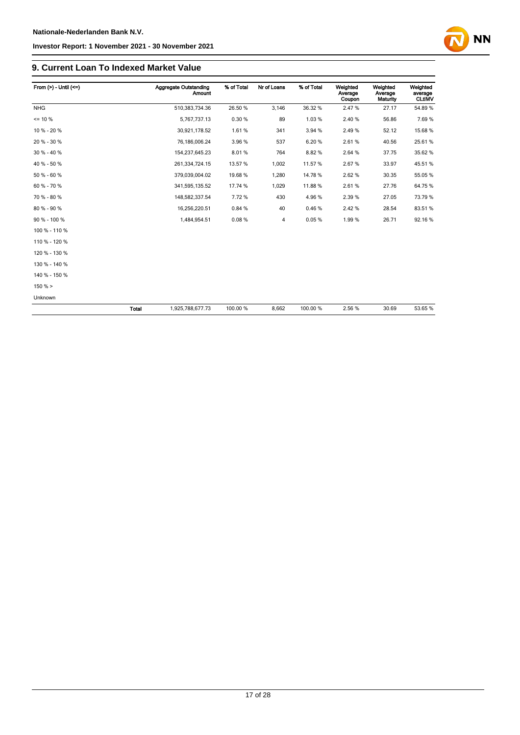### **9. Current Loan To Indexed Market Value**

| From $(>) -$ Until $(<=)$ |              | Aggregate Outstanding<br>Amount | % of Total | Nr of Loans    | % of Total | Weighted<br>Average<br>Coupon | Weighted<br>Average<br><b>Maturity</b> | Weighted<br>average<br><b>CLtIMV</b> |
|---------------------------|--------------|---------------------------------|------------|----------------|------------|-------------------------------|----------------------------------------|--------------------------------------|
| <b>NHG</b>                |              | 510,383,734.36                  | 26.50 %    | 3,146          | 36.32 %    | 2.47%                         | 27.17                                  | 54.89%                               |
| $= 10 \%$                 |              | 5,767,737.13                    | 0.30%      | 89             | 1.03%      | 2.40%                         | 56.86                                  | 7.69%                                |
| 10 % - 20 %               |              | 30,921,178.52                   | 1.61%      | 341            | 3.94 %     | 2.49%                         | 52.12                                  | 15.68 %                              |
| 20 % - 30 %               |              | 76,186,006.24                   | 3.96 %     | 537            | 6.20%      | 2.61%                         | 40.56                                  | 25.61%                               |
| 30 % - 40 %               |              | 154,237,645.23                  | 8.01%      | 764            | 8.82%      | 2.64 %                        | 37.75                                  | 35.62 %                              |
| 40 % - 50 %               |              | 261,334,724.15                  | 13.57 %    | 1,002          | 11.57%     | 2.67%                         | 33.97                                  | 45.51 %                              |
| 50 % - 60 %               |              | 379,039,004.02                  | 19.68 %    | 1,280          | 14.78%     | 2.62%                         | 30.35                                  | 55.05 %                              |
| 60 % - 70 %               |              | 341,595,135.52                  | 17.74 %    | 1,029          | 11.88%     | 2.61%                         | 27.76                                  | 64.75%                               |
| 70 % - 80 %               |              | 148,582,337.54                  | 7.72%      | 430            | 4.96%      | 2.39%                         | 27.05                                  | 73.79 %                              |
| 80 % - 90 %               |              | 16,256,220.51                   | 0.84 %     | 40             | 0.46%      | 2.42%                         | 28.54                                  | 83.51 %                              |
| 90 % - 100 %              |              | 1,484,954.51                    | 0.08%      | $\overline{4}$ | 0.05%      | 1.99%                         | 26.71                                  | 92.16%                               |
| 100 % - 110 %             |              |                                 |            |                |            |                               |                                        |                                      |
| 110 % - 120 %             |              |                                 |            |                |            |                               |                                        |                                      |
| 120 % - 130 %             |              |                                 |            |                |            |                               |                                        |                                      |
| 130 % - 140 %             |              |                                 |            |                |            |                               |                                        |                                      |
| 140 % - 150 %             |              |                                 |            |                |            |                               |                                        |                                      |
| 150%                      |              |                                 |            |                |            |                               |                                        |                                      |
| Unknown                   |              |                                 |            |                |            |                               |                                        |                                      |
|                           | <b>Total</b> | 1,925,788,677.73                | 100.00 %   | 8,662          | 100.00 %   | 2.56 %                        | 30.69                                  | 53.65 %                              |

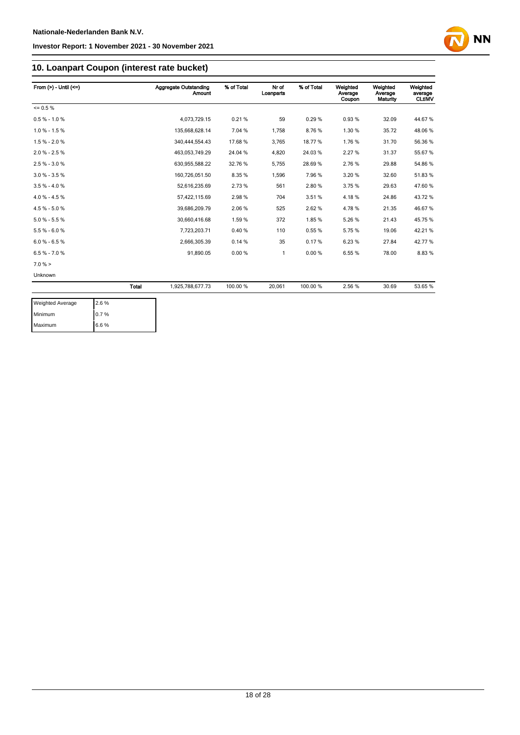

# **10. Loanpart Coupon (interest rate bucket)**

| From $(>) -$ Until $(<=)$ |       | <b>Aggregate Outstanding</b><br><b>Amount</b> | % of Total | Nr of<br>Loanparts | % of Total | Weighted<br>Average<br>Coupon | Weighted<br>Average<br>Maturity | Weighted<br>average<br><b>CLtIMV</b> |
|---------------------------|-------|-----------------------------------------------|------------|--------------------|------------|-------------------------------|---------------------------------|--------------------------------------|
| $= 0.5 \%$                |       |                                               |            |                    |            |                               |                                 |                                      |
| $0.5 % - 1.0 %$           |       | 4,073,729.15                                  | 0.21%      | 59                 | 0.29%      | 0.93%                         | 32.09                           | 44.67%                               |
| $1.0 \% - 1.5 \%$         |       | 135,668,628.14                                | 7.04 %     | 1,758              | 8.76%      | 1.30 %                        | 35.72                           | 48.06%                               |
| $1.5% - 2.0%$             |       | 340.444.554.43                                | 17.68 %    | 3,765              | 18.77%     | 1.76%                         | 31.70                           | 56.36 %                              |
| $2.0 \% - 2.5 \%$         |       | 463,053,749.29                                | 24.04 %    | 4,820              | 24.03%     | 2.27%                         | 31.37                           | 55.67%                               |
| $2.5% - 3.0%$             |       | 630,955,588.22                                | 32.76 %    | 5,755              | 28.69%     | 2.76%                         | 29.88                           | 54.86 %                              |
| $3.0 \% - 3.5 \%$         |       | 160,726,051.50                                | 8.35%      | 1,596              | 7.96%      | 3.20%                         | 32.60                           | 51.83%                               |
| $3.5% - 4.0%$             |       | 52,616,235.69                                 | 2.73 %     | 561                | 2.80%      | 3.75 %                        | 29.63                           | 47.60 %                              |
| $4.0 \% - 4.5 \%$         |       | 57,422,115.69                                 | 2.98%      | 704                | 3.51%      | 4.18%                         | 24.86                           | 43.72%                               |
| $4.5% - 5.0%$             |       | 39,686,209.79                                 | 2.06%      | 525                | 2.62%      | 4.78%                         | 21.35                           | 46.67%                               |
| $5.0 % - 5.5 %$           |       | 30,660,416.68                                 | 1.59%      | 372                | 1.85%      | 5.26%                         | 21.43                           | 45.75 %                              |
| $5.5% - 6.0%$             |       | 7,723,203.71                                  | 0.40%      | 110                | 0.55%      | 5.75%                         | 19.06                           | 42.21%                               |
| $6.0 % - 6.5 %$           |       | 2,666,305.39                                  | 0.14%      | 35                 | 0.17%      | 6.23%                         | 27.84                           | 42.77%                               |
| $6.5% - 7.0%$             |       | 91,890.05                                     | 0.00%      | 1                  | 0.00%      | 6.55%                         | 78.00                           | 8.83%                                |
| 7.0%                      |       |                                               |            |                    |            |                               |                                 |                                      |
| Unknown                   |       |                                               |            |                    |            |                               |                                 |                                      |
|                           | Total | 1,925,788,677.73                              | 100.00 %   | 20,061             | 100.00%    | 2.56 %                        | 30.69                           | 53.65 %                              |

| <b>Weighted Average</b> | 2.6 % |
|-------------------------|-------|
| Minimum                 | 10.7% |
| Maximum                 | 6.6%  |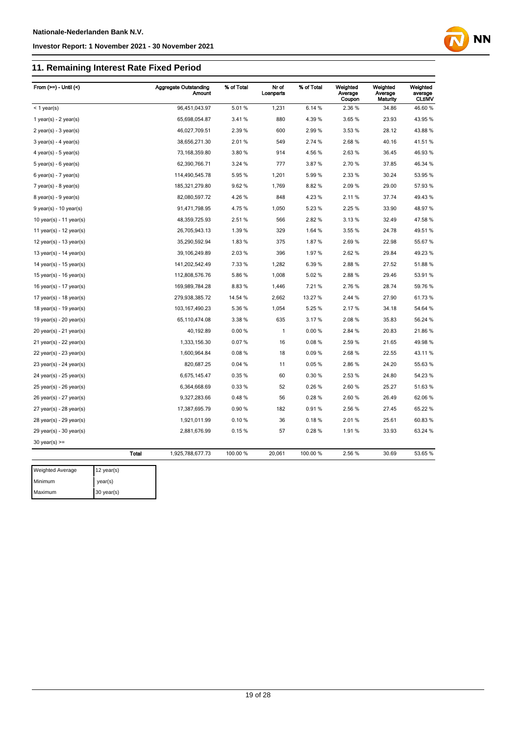# **11. Remaining Interest Rate Fixed Period**

| From $(>=)$ - Until $($     |              | <b>Aggregate Outstanding</b><br><b>Amount</b> | % of Total | Nr of<br>Loanparts | % of Total | Weighted<br>Average<br>Coupon | Weighted<br>Average<br>Maturity | Weighted<br>average<br><b>CLtIMV</b> |
|-----------------------------|--------------|-----------------------------------------------|------------|--------------------|------------|-------------------------------|---------------------------------|--------------------------------------|
| $<$ 1 year(s)               |              | 96,451,043.97                                 | 5.01%      | 1,231              | 6.14 %     | 2.36 %                        | 34.86                           | 46.60%                               |
| 1 year(s) - $2$ year(s)     |              | 65,698,054.87                                 | 3.41%      | 880                | 4.39%      | 3.65%                         | 23.93                           | 43.95 %                              |
| $2$ year(s) - $3$ year(s)   |              | 46,027,709.51                                 | 2.39 %     | 600                | 2.99%      | 3.53 %                        | 28.12                           | 43.88%                               |
| $3$ year(s) - 4 year(s)     |              | 38,656,271.30                                 | 2.01%      | 549                | 2.74 %     | 2.68%                         | 40.16                           | 41.51%                               |
| $4$ year(s) - $5$ year(s)   |              | 73,168,359.80                                 | 3.80%      | 914                | 4.56%      | 2.63%                         | 36.45                           | 46.93%                               |
| $5$ year(s) - 6 year(s)     |              | 62,390,766.71                                 | 3.24 %     | 777                | 3.87%      | 2.70%                         | 37.85                           | 46.34 %                              |
| $6$ year(s) - 7 year(s)     |              | 114,490,545.78                                | 5.95%      | 1,201              | 5.99%      | 2.33%                         | 30.24                           | 53.95 %                              |
| $7$ year(s) - 8 year(s)     |              | 185,321,279.80                                | 9.62%      | 1,769              | 8.82%      | 2.09%                         | 29.00                           | 57.93 %                              |
| $8$ year(s) - $9$ year(s)   |              | 82,080,597.72                                 | 4.26%      | 848                | 4.23%      | 2.11%                         | 37.74                           | 49.43%                               |
| $9$ year(s) - 10 year(s)    |              | 91,471,798.95                                 | 4.75%      | 1,050              | 5.23 %     | 2.25 %                        | 33.90                           | 48.97%                               |
| 10 year(s) - 11 year(s)     |              | 48,359,725.93                                 | 2.51%      | 566                | 2.82%      | 3.13%                         | 32.49                           | 47.58 %                              |
| 11 year(s) - $12$ year(s)   |              | 26,705,943.13                                 | 1.39%      | 329                | 1.64 %     | 3.55 %                        | 24.78                           | 49.51 %                              |
| 12 year(s) - 13 year(s)     |              | 35,290,592.94                                 | 1.83%      | 375                | 1.87%      | 2.69%                         | 22.98                           | 55.67 %                              |
| 13 year(s) - $14$ year(s)   |              | 39,106,249.89                                 | 2.03%      | 396                | 1.97%      | 2.62%                         | 29.84                           | 49.23 %                              |
| 14 year(s) - 15 year(s)     |              | 141,202,542.49                                | 7.33 %     | 1,282              | 6.39%      | 2.88%                         | 27.52                           | 51.88%                               |
| 15 year(s) - 16 year(s)     |              | 112,808,576.76                                | 5.86%      | 1,008              | 5.02%      | 2.88%                         | 29.46                           | 53.91 %                              |
| 16 year(s) - 17 year(s)     |              | 169,989,784.28                                | 8.83%      | 1,446              | 7.21%      | 2.76%                         | 28.74                           | 59.76 %                              |
| 17 year(s) - 18 year(s)     |              | 279,938,385.72                                | 14.54 %    | 2,662              | 13.27 %    | 2.44 %                        | 27.90                           | 61.73%                               |
| 18 year(s) - 19 year(s)     |              | 103, 167, 490. 23                             | 5.36%      | 1,054              | 5.25 %     | 2.17%                         | 34.18                           | 54.64 %                              |
| 19 year(s) - 20 year(s)     |              | 65,110,474.08                                 | 3.38 %     | 635                | 3.17%      | 2.08%                         | 35.83                           | 56.24 %                              |
| $20$ year(s) - $21$ year(s) |              | 40,192.89                                     | 0.00%      | 1                  | 0.00%      | 2.84 %                        | 20.83                           | 21.86%                               |
| 21 year(s) - 22 year(s)     |              | 1,333,156.30                                  | 0.07%      | 16                 | 0.08%      | 2.59%                         | 21.65                           | 49.98 %                              |
| 22 year(s) - 23 year(s)     |              | 1,600,964.84                                  | 0.08%      | 18                 | 0.09%      | 2.68%                         | 22.55                           | 43.11 %                              |
| $23$ year(s) - $24$ year(s) |              | 820,687.25                                    | 0.04%      | 11                 | 0.05%      | 2.86%                         | 24.20                           | 55.63%                               |
| 24 year(s) - 25 year(s)     |              | 6,675,145.47                                  | 0.35%      | 60                 | 0.30%      | 2.53%                         | 24.80                           | 54.23 %                              |
| $25$ year(s) - $26$ year(s) |              | 6,364,668.69                                  | 0.33%      | 52                 | 0.26%      | 2.60%                         | 25.27                           | 51.63%                               |
| 26 year(s) - 27 year(s)     |              | 9,327,283.66                                  | 0.48%      | 56                 | 0.28%      | 2.60%                         | 26.49                           | 62.06%                               |
| $27$ year(s) - $28$ year(s) |              | 17,387,695.79                                 | 0.90%      | 182                | 0.91%      | 2.56 %                        | 27.45                           | 65.22 %                              |
| $28$ year(s) - $29$ year(s) |              | 1,921,011.99                                  | 0.10%      | 36                 | 0.18%      | 2.01%                         | 25.61                           | 60.83%                               |
| 29 year(s) - 30 year(s)     |              | 2,881,676.99                                  | 0.15%      | 57                 | 0.28%      | 1.91%                         | 33.93                           | 63.24 %                              |
| $30$ year(s) $>=$           |              |                                               |            |                    |            |                               |                                 |                                      |
|                             | <b>Total</b> | 1,925,788,677.73                              | 100.00 %   | 20,061             | 100.00%    | 2.56%                         | 30.69                           | 53.65 %                              |

| <b>Weighted Average</b> | 12 $year(s)$ |
|-------------------------|--------------|
| Minimum                 | year(s)      |
| Maximum                 | $30$ year(s) |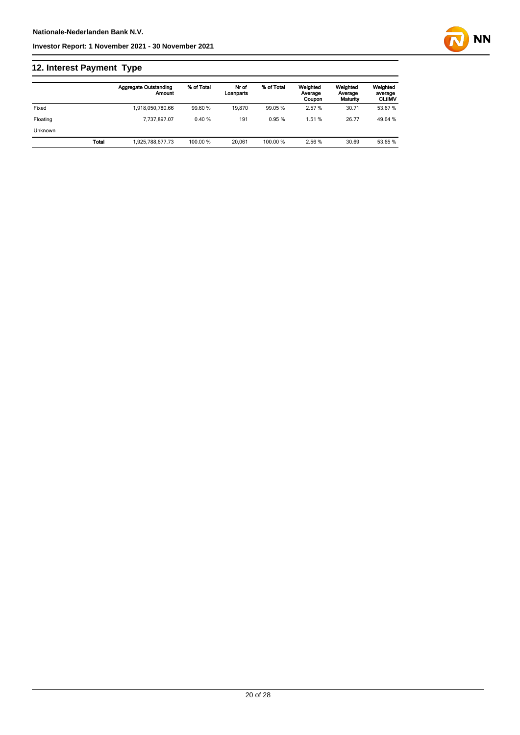# **12. Interest Payment Type**

|                |              | <b>Aggregate Outstanding</b><br>Amount | % of Total | Nr of<br>Loanparts | % of Total | Weighted<br>Average<br>Coupon | Weighted<br>Average<br>Maturity | Weighted<br>average<br><b>CLtIMV</b> |
|----------------|--------------|----------------------------------------|------------|--------------------|------------|-------------------------------|---------------------------------|--------------------------------------|
| Fixed          |              | 1,918,050,780.66                       | 99.60 %    | 19.870             | 99.05 %    | 2.57%                         | 30.71                           | 53.67 %                              |
| Floating       |              | 7.737.897.07                           | 0.40%      | 191                | 0.95%      | 1.51 %                        | 26.77                           | 49.64 %                              |
| <b>Unknown</b> |              |                                        |            |                    |            |                               |                                 |                                      |
|                | <b>Total</b> | 1.925.788.677.73                       | 100.00 %   | 20.061             | 100.00 %   | 2.56 %                        | 30.69                           | 53.65 %                              |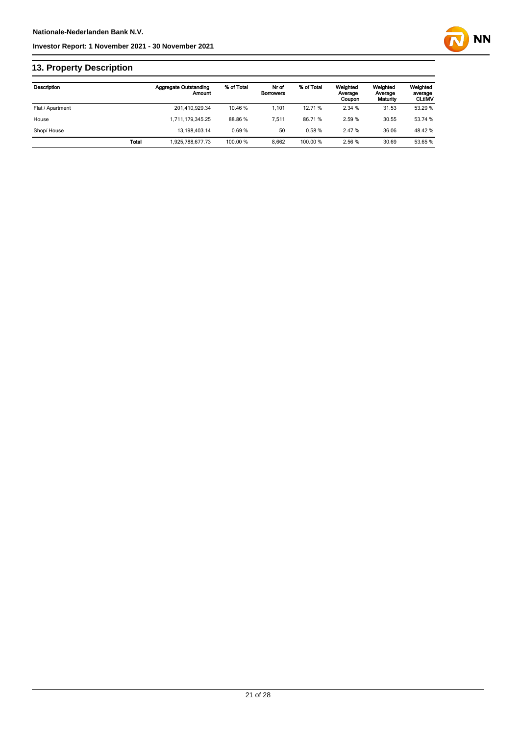

# **13. Property Description**

| <b>Description</b> |              | <b>Aggregate Outstanding</b><br>Amount | % of Total | Nr of<br><b>Borrowers</b> | % of Total | Weighted<br>Average<br>Coupon | Weighted<br>Average<br>Maturity | Weighted<br>average<br><b>CLtIMV</b> |
|--------------------|--------------|----------------------------------------|------------|---------------------------|------------|-------------------------------|---------------------------------|--------------------------------------|
| Flat / Apartment   |              | 201,410,929.34                         | 10.46 %    | 1.101                     | 12.71 %    | 2.34 %                        | 31.53                           | 53.29 %                              |
| House              |              | 1.711.179.345.25                       | 88.86 %    | 7.511                     | 86.71%     | 2.59 %                        | 30.55                           | 53.74 %                              |
| Shop/House         |              | 13.198.403.14                          | 0.69%      | 50                        | 0.58%      | 2.47 %                        | 36.06                           | 48.42 %                              |
|                    | <b>Total</b> | 1.925.788.677.73                       | 100.00 %   | 8.662                     | 100.00%    | 2.56 %                        | 30.69                           | 53.65 %                              |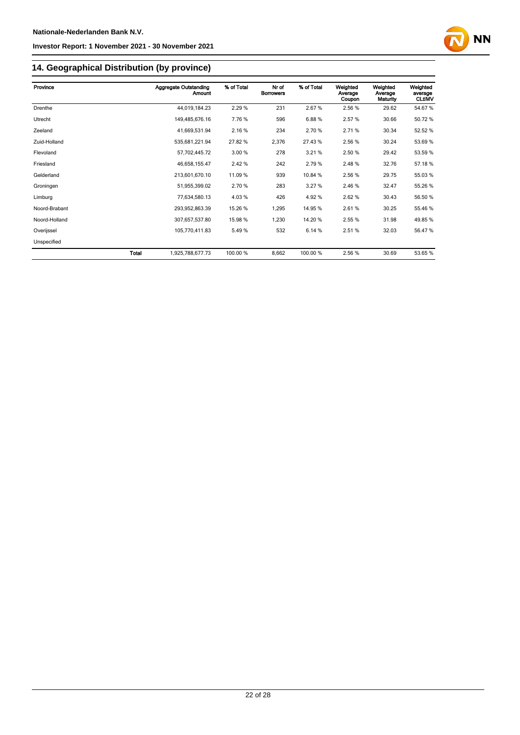

# **14. Geographical Distribution (by province)**

| Province      |       | <b>Aggregate Outstanding</b><br>Amount | % of Total | Nr of<br><b>Borrowers</b> | % of Total | Weighted<br>Average<br>Coupon | Weighted<br>Average<br>Maturity | Weighted<br>average<br><b>CLtIMV</b> |
|---------------|-------|----------------------------------------|------------|---------------------------|------------|-------------------------------|---------------------------------|--------------------------------------|
| Drenthe       |       | 44,019,184.23                          | 2.29 %     | 231                       | 2.67%      | 2.56 %                        | 29.62                           | 54.67%                               |
| Utrecht       |       | 149,485,676.16                         | 7.76%      | 596                       | 6.88%      | 2.57%                         | 30.66                           | 50.72%                               |
| Zeeland       |       | 41,669,531.94                          | 2.16%      | 234                       | 2.70 %     | 2.71 %                        | 30.34                           | 52.52 %                              |
| Zuid-Holland  |       | 535,681,221.94                         | 27.82 %    | 2,376                     | 27.43%     | 2.56 %                        | 30.24                           | 53.69%                               |
| Flevoland     |       | 57,702,445.72                          | 3.00 %     | 278                       | 3.21%      | 2.50 %                        | 29.42                           | 53.59 %                              |
| Friesland     |       | 46,658,155.47                          | 2.42 %     | 242                       | 2.79%      | 2.48%                         | 32.76                           | 57.18 %                              |
| Gelderland    |       | 213,601,670.10                         | 11.09 %    | 939                       | 10.84 %    | 2.56 %                        | 29.75                           | 55.03 %                              |
| Groningen     |       | 51,955,399.02                          | 2.70 %     | 283                       | 3.27%      | 2.46%                         | 32.47                           | 55.26 %                              |
| Limburg       |       | 77,634,580.13                          | 4.03%      | 426                       | 4.92%      | 2.62%                         | 30.43                           | 56.50 %                              |
| Noord-Brabant |       | 293,952,863.39                         | 15.26 %    | 1,295                     | 14.95 %    | 2.61%                         | 30.25                           | 55.46 %                              |
| Noord-Holland |       | 307,657,537.80                         | 15.98 %    | 1,230                     | 14.20%     | 2.55 %                        | 31.98                           | 49.85%                               |
| Overijssel    |       | 105,770,411.83                         | 5.49%      | 532                       | 6.14%      | 2.51%                         | 32.03                           | 56.47 %                              |
| Unspecified   |       |                                        |            |                           |            |                               |                                 |                                      |
|               | Total | 1,925,788,677.73                       | 100.00 %   | 8,662                     | 100.00 %   | 2.56%                         | 30.69                           | 53.65 %                              |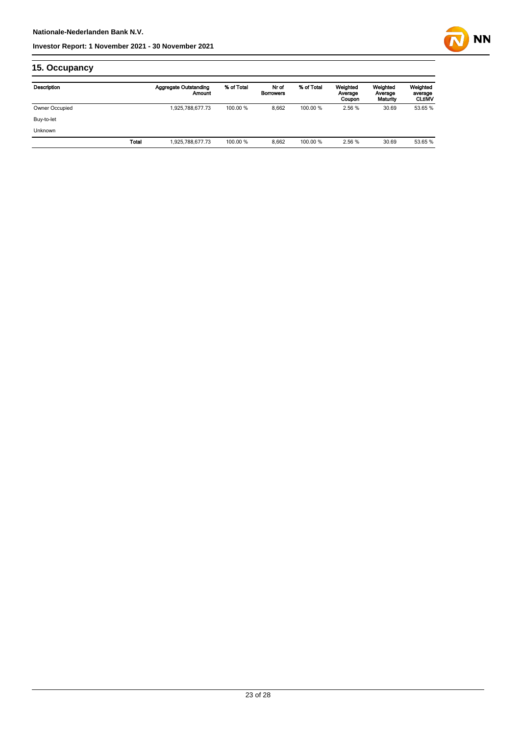

# **15. Occupancy**

| Description    |       | Aggregate Outstanding<br>Amount | % of Total | Nr of<br><b>Borrowers</b> | % of Total | Weighted<br>Average<br>Coupon | Weighted<br>Average<br>Maturity | Weighted<br>average<br><b>CLtIMV</b> |
|----------------|-------|---------------------------------|------------|---------------------------|------------|-------------------------------|---------------------------------|--------------------------------------|
| Owner Occupied |       | 1,925,788,677.73                | 100.00 %   | 8.662                     | 100.00 %   | 2.56 %                        | 30.69                           | 53.65 %                              |
| Buy-to-let     |       |                                 |            |                           |            |                               |                                 |                                      |
| <b>Unknown</b> |       |                                 |            |                           |            |                               |                                 |                                      |
|                | Total | 1,925,788,677.73                | 100.00 %   | 8.662                     | 100.00 %   | 2.56 %                        | 30.69                           | 53.65 %                              |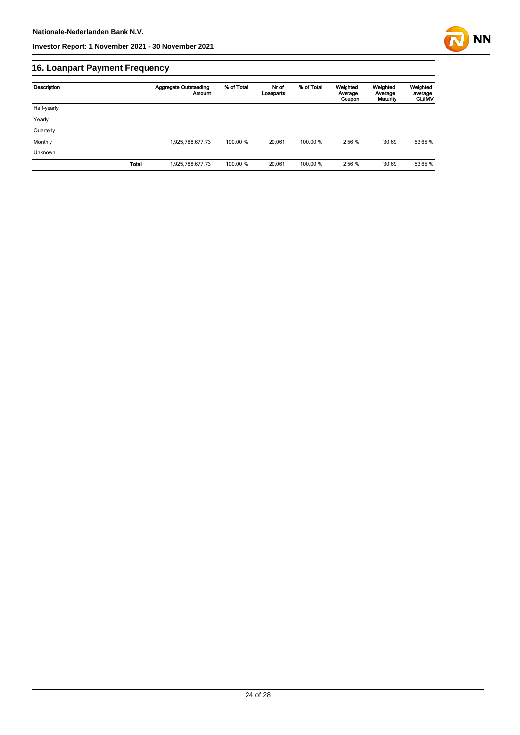

# **16. Loanpart Payment Frequency**

| Description  | <b>Aggregate Outstanding</b><br>Amount | % of Total | Nr of<br>Loanparts | % of Total | Weighted<br>Average<br>Coupon | Weighted<br>Average<br>Maturity | Weighted<br>average<br><b>CLUMV</b> |
|--------------|----------------------------------------|------------|--------------------|------------|-------------------------------|---------------------------------|-------------------------------------|
| Half-yearly  |                                        |            |                    |            |                               |                                 |                                     |
| Yearly       |                                        |            |                    |            |                               |                                 |                                     |
| Quarterly    |                                        |            |                    |            |                               |                                 |                                     |
| Monthly      | 1,925,788,677.73                       | 100.00 %   | 20.061             | 100.00 %   | 2.56 %                        | 30.69                           | 53.65 %                             |
| Unknown      |                                        |            |                    |            |                               |                                 |                                     |
| <b>Total</b> | 1,925,788,677.73                       | 100.00 %   | 20,061             | 100.00 %   | 2.56 %                        | 30.69                           | 53.65 %                             |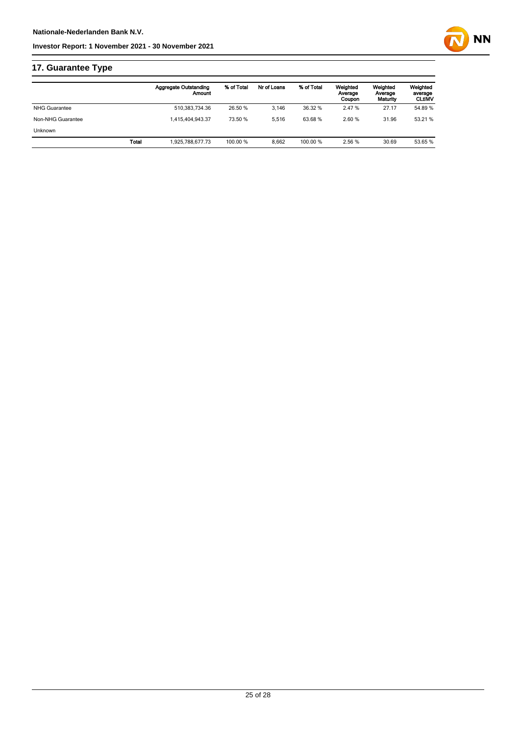

|                      |       | <b>Aggregate Outstanding</b><br>Amount | % of Total | Nr of Loans | % of Total | Weighted<br>Average<br>Coupon | Weighted<br>Average<br>Maturity | Weighted<br>average<br><b>CLtIMV</b> |
|----------------------|-------|----------------------------------------|------------|-------------|------------|-------------------------------|---------------------------------|--------------------------------------|
| <b>NHG Guarantee</b> |       | 510.383.734.36                         | 26.50 %    | 3.146       | 36.32 %    | 2.47 %                        | 27.17                           | 54.89 %                              |
| Non-NHG Guarantee    |       | 1.415.404.943.37                       | 73.50 %    | 5.516       | 63.68%     | 2.60%                         | 31.96                           | 53.21 %                              |
| <b>Unknown</b>       |       |                                        |            |             |            |                               |                                 |                                      |
|                      | Total | 1.925.788.677.73                       | 100.00 %   | 8.662       | 100.00 %   | 2.56 %                        | 30.69                           | 53.65 %                              |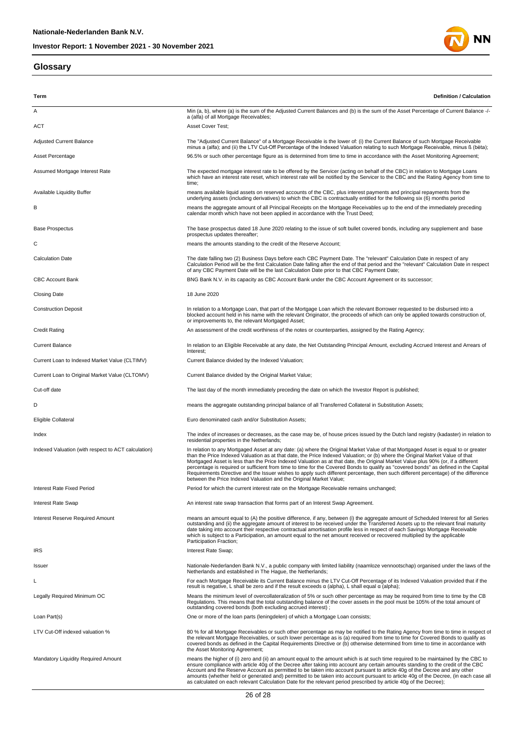### **Glossary**



| Term                                                | <b>Definition / Calculation</b>                                                                                                                                                                                                                                                                                                                                                                                                                                                                                                                                                                                                                                                                                                                             |
|-----------------------------------------------------|-------------------------------------------------------------------------------------------------------------------------------------------------------------------------------------------------------------------------------------------------------------------------------------------------------------------------------------------------------------------------------------------------------------------------------------------------------------------------------------------------------------------------------------------------------------------------------------------------------------------------------------------------------------------------------------------------------------------------------------------------------------|
| Α                                                   | Min (a, b), where (a) is the sum of the Adjusted Current Balances and (b) is the sum of the Asset Percentage of Current Balance -/-<br>a (alfa) of all Mortgage Receivables;                                                                                                                                                                                                                                                                                                                                                                                                                                                                                                                                                                                |
| ACT                                                 | Asset Cover Test;                                                                                                                                                                                                                                                                                                                                                                                                                                                                                                                                                                                                                                                                                                                                           |
| <b>Adjusted Current Balance</b>                     | The "Adjusted Current Balance" of a Mortgage Receivable is the lower of: (i) the Current Balance of such Mortgage Receivable<br>minus a (alfa); and (ii) the LTV Cut-Off Percentage of the Indexed Valuation relating to such Mortgage Receivable, minus ß (bèta);                                                                                                                                                                                                                                                                                                                                                                                                                                                                                          |
| Asset Percentage                                    | 96.5% or such other percentage figure as is determined from time to time in accordance with the Asset Monitoring Agreement;                                                                                                                                                                                                                                                                                                                                                                                                                                                                                                                                                                                                                                 |
| Assumed Mortgage Interest Rate                      | The expected mortgage interest rate to be offered by the Servicer (acting on behalf of the CBC) in relation to Mortgage Loans<br>which have an interest rate reset, which interest rate will be notified by the Servicer to the CBC and the Rating Agency from time to<br>time;                                                                                                                                                                                                                                                                                                                                                                                                                                                                             |
| <b>Available Liquidity Buffer</b>                   | means available liquid assets on reserved accounts of the CBC, plus interest payments and principal repayments from the<br>underlying assets (including derivatives) to which the CBC is contractually entitled for the following six (6) months period                                                                                                                                                                                                                                                                                                                                                                                                                                                                                                     |
| в                                                   | means the aggregate amount of all Principal Receipts on the Mortgage Receivables up to the end of the immediately preceding<br>calendar month which have not been applied in accordance with the Trust Deed;                                                                                                                                                                                                                                                                                                                                                                                                                                                                                                                                                |
| <b>Base Prospectus</b>                              | The base prospectus dated 18 June 2020 relating to the issue of soft bullet covered bonds, including any supplement and base<br>prospectus updates thereafter;                                                                                                                                                                                                                                                                                                                                                                                                                                                                                                                                                                                              |
| С                                                   | means the amounts standing to the credit of the Reserve Account;                                                                                                                                                                                                                                                                                                                                                                                                                                                                                                                                                                                                                                                                                            |
| <b>Calculation Date</b>                             | The date falling two (2) Business Days before each CBC Payment Date. The "relevant" Calculation Date in respect of any<br>Calculation Period will be the first Calculation Date falling after the end of that period and the "relevant" Calculation Date in respect<br>of any CBC Payment Date will be the last Calculation Date prior to that CBC Payment Date;                                                                                                                                                                                                                                                                                                                                                                                            |
| <b>CBC Account Bank</b>                             | BNG Bank N.V. in its capacity as CBC Account Bank under the CBC Account Agreement or its successor;                                                                                                                                                                                                                                                                                                                                                                                                                                                                                                                                                                                                                                                         |
| <b>Closing Date</b>                                 | 18 June 2020                                                                                                                                                                                                                                                                                                                                                                                                                                                                                                                                                                                                                                                                                                                                                |
| <b>Construction Deposit</b>                         | In relation to a Mortgage Loan, that part of the Mortgage Loan which the relevant Borrower requested to be disbursed into a<br>blocked account held in his name with the relevant Originator, the proceeds of which can only be applied towards construction of,<br>or improvements to, the relevant Mortgaged Asset;                                                                                                                                                                                                                                                                                                                                                                                                                                       |
| <b>Credit Rating</b>                                | An assessment of the credit worthiness of the notes or counterparties, assigned by the Rating Agency;                                                                                                                                                                                                                                                                                                                                                                                                                                                                                                                                                                                                                                                       |
| <b>Current Balance</b>                              | In relation to an Eligible Receivable at any date, the Net Outstanding Principal Amount, excluding Accrued Interest and Arrears of<br>Interest;                                                                                                                                                                                                                                                                                                                                                                                                                                                                                                                                                                                                             |
| Current Loan to Indexed Market Value (CLTIMV)       | Current Balance divided by the Indexed Valuation;                                                                                                                                                                                                                                                                                                                                                                                                                                                                                                                                                                                                                                                                                                           |
| Current Loan to Original Market Value (CLTOMV)      | Current Balance divided by the Original Market Value;                                                                                                                                                                                                                                                                                                                                                                                                                                                                                                                                                                                                                                                                                                       |
| Cut-off date                                        | The last day of the month immediately preceding the date on which the Investor Report is published;                                                                                                                                                                                                                                                                                                                                                                                                                                                                                                                                                                                                                                                         |
| D                                                   | means the aggregate outstanding principal balance of all Transferred Collateral in Substitution Assets;                                                                                                                                                                                                                                                                                                                                                                                                                                                                                                                                                                                                                                                     |
| Eligible Collateral                                 | Euro denominated cash and/or Substitution Assets;                                                                                                                                                                                                                                                                                                                                                                                                                                                                                                                                                                                                                                                                                                           |
| Index                                               | The index of increases or decreases, as the case may be, of house prices issued by the Dutch land registry (kadaster) in relation to<br>residential properties in the Netherlands;                                                                                                                                                                                                                                                                                                                                                                                                                                                                                                                                                                          |
| Indexed Valuation (with respect to ACT calculation) | In relation to any Mortgaged Asset at any date: (a) where the Original Market Value of that Mortgaged Asset is equal to or greater<br>than the Price Indexed Valuation as at that date, the Price Indexed Valuation; or (b) where the Original Market Value of that<br>Mortgaged Asset is less than the Price Indexed Valuation as at that date, the Original Market Value plus 90% (or, if a different<br>percentage is required or sufficient from time to time for the Covered Bonds to qualify as "covered bonds" as defined in the Capital<br>Requirements Directive and the Issuer wishes to apply such different percentage, then such different percentage) of the difference<br>between the Price Indexed Valuation and the Original Market Value; |
| Interest Rate Fixed Period                          | Period for which the current interest rate on the Mortgage Receivable remains unchanged;                                                                                                                                                                                                                                                                                                                                                                                                                                                                                                                                                                                                                                                                    |
| <b>Interest Rate Swap</b>                           | An interest rate swap transaction that forms part of an Interest Swap Agreement.                                                                                                                                                                                                                                                                                                                                                                                                                                                                                                                                                                                                                                                                            |
| Interest Reserve Required Amount                    | means an amount equal to (A) the positive difference, if any, between (i) the aggregate amount of Scheduled Interest for all Series<br>outstanding and (ii) the aggregate amount of interest to be received under the Transferred Assets up to the relevant final maturity<br>date taking into account their respective contractual amortisation profile less in respect of each Savings Mortgage Receivable<br>which is subject to a Participation, an amount equal to the net amount received or recovered multiplied by the applicable<br>Participation Fraction;                                                                                                                                                                                        |
| <b>IRS</b>                                          | Interest Rate Swap;                                                                                                                                                                                                                                                                                                                                                                                                                                                                                                                                                                                                                                                                                                                                         |
| <b>Issuer</b>                                       | Nationale-Nederlanden Bank N.V., a public company with limited liability (naamloze vennootschap) organised under the laws of the<br>Netherlands and established in The Hague, the Netherlands;                                                                                                                                                                                                                                                                                                                                                                                                                                                                                                                                                              |
| L                                                   | For each Mortgage Receivable its Current Balance minus the LTV Cut-Off Percentage of its Indexed Valuation provided that if the<br>result is negative, L shall be zero and if the result exceeds $\alpha$ (alpha), L shall equal $\alpha$ (alpha);                                                                                                                                                                                                                                                                                                                                                                                                                                                                                                          |
| Legally Required Minimum OC                         | Means the minimum level of overcollateralization of 5% or such other percentage as may be required from time to time by the CB<br>Regulations. This means that the total outstanding balance of the cover assets in the pool must be 105% of the total amount of<br>outstanding covered bonds (both excluding accrued interest);                                                                                                                                                                                                                                                                                                                                                                                                                            |
| Loan Part(s)                                        | One or more of the loan parts (leningdelen) of which a Mortgage Loan consists;                                                                                                                                                                                                                                                                                                                                                                                                                                                                                                                                                                                                                                                                              |
| LTV Cut-Off indexed valuation %                     | 80 % for all Mortgage Receivables or such other percentage as may be notified to the Rating Agency from time to time in respect of<br>the relevant Mortgage Receivables, or such lower percentage as is (a) required from time to time for Covered Bonds to qualify as<br>covered bonds as defined in the Capital Requirements Directive or (b) otherwise determined from time to time in accordance with<br>the Asset Monitoring Agreement;                                                                                                                                                                                                                                                                                                                |
| Mandatory Liquidity Required Amount                 | means the higher of (i) zero and (ii) an amount equal to the amount which is at such time required to be maintained by the CBC to<br>ensure compliance with article 40g of the Decree after taking into account any certain amounts standing to the credit of the CBC<br>Account and the Reserve Account as permitted to be taken into account pursuant to article 40g of the Decree and any other<br>amounts (whether held or generated and) permitted to be taken into account pursuant to article 40g of the Decree, (in each case all<br>as calculated on each relevant Calculation Date for the relevant period prescribed by article 40g of the Decree);                                                                                              |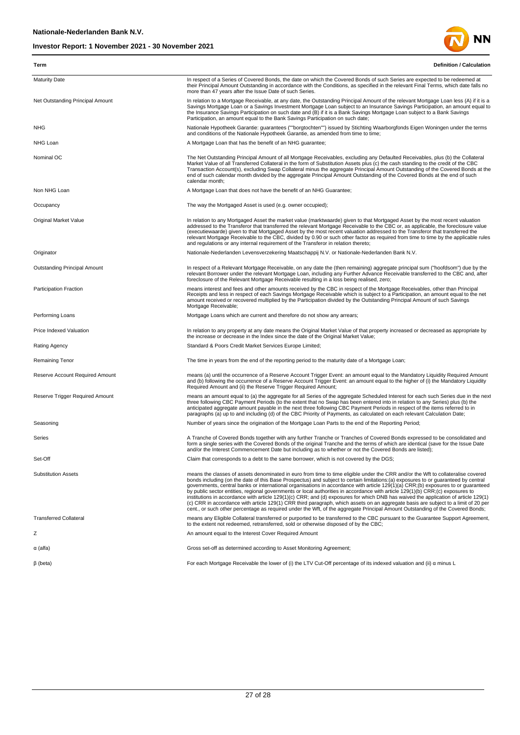

| Term                             | <b>Definition / Calculation</b>                                                                                                                                                                                                                                                                                                                                                                                                                                                                                                                                                                                                                                                                                                                                                                                                                                                                                                                              |
|----------------------------------|--------------------------------------------------------------------------------------------------------------------------------------------------------------------------------------------------------------------------------------------------------------------------------------------------------------------------------------------------------------------------------------------------------------------------------------------------------------------------------------------------------------------------------------------------------------------------------------------------------------------------------------------------------------------------------------------------------------------------------------------------------------------------------------------------------------------------------------------------------------------------------------------------------------------------------------------------------------|
| <b>Maturity Date</b>             | In respect of a Series of Covered Bonds, the date on which the Covered Bonds of such Series are expected to be redeemed at<br>their Principal Amount Outstanding in accordance with the Conditions, as specified in the relevant Final Terms, which date falls no<br>more than 47 years after the Issue Date of such Series.                                                                                                                                                                                                                                                                                                                                                                                                                                                                                                                                                                                                                                 |
| Net Outstanding Principal Amount | In relation to a Mortgage Receivable, at any date, the Outstanding Principal Amount of the relevant Mortgage Loan less (A) if it is a<br>Savings Mortgage Loan or a Savings Investment Mortgage Loan subject to an Insurance Savings Participation, an amount equal to<br>the Insurance Savings Participation on such date and (B) if it is a Bank Savings Mortgage Loan subject to a Bank Savings<br>Participation, an amount equal to the Bank Savings Participation on such date;                                                                                                                                                                                                                                                                                                                                                                                                                                                                         |
| <b>NHG</b>                       | Nationale Hypotheek Garantie: guarantees (""borgtochten"") issued by Stichting Waarborgfonds Eigen Woningen under the terms<br>and conditions of the Nationale Hypotheek Garantie, as amended from time to time;                                                                                                                                                                                                                                                                                                                                                                                                                                                                                                                                                                                                                                                                                                                                             |
| NHG Loan                         | A Mortgage Loan that has the benefit of an NHG guarantee;                                                                                                                                                                                                                                                                                                                                                                                                                                                                                                                                                                                                                                                                                                                                                                                                                                                                                                    |
| Nominal OC                       | The Net Outstanding Principal Amount of all Mortgage Receivables, excluding any Defaulted Receivables, plus (b) the Collateral<br>Market Value of all Transferred Collateral in the form of Substitution Assets plus (c) the cash standing to the credit of the CBC<br>Transaction Account(s), excluding Swap Collateral minus the aggregate Principal Amount Outstanding of the Covered Bonds at the<br>end of such calendar month divided by the aggregate Principal Amount Outstanding of the Covered Bonds at the end of such<br>calendar month;                                                                                                                                                                                                                                                                                                                                                                                                         |
| Non NHG Loan                     | A Mortgage Loan that does not have the benefit of an NHG Guarantee;                                                                                                                                                                                                                                                                                                                                                                                                                                                                                                                                                                                                                                                                                                                                                                                                                                                                                          |
| Occupancy                        | The way the Mortgaged Asset is used (e.g. owner occupied);                                                                                                                                                                                                                                                                                                                                                                                                                                                                                                                                                                                                                                                                                                                                                                                                                                                                                                   |
| Original Market Value            | In relation to any Mortgaged Asset the market value (marktwaarde) given to that Mortgaged Asset by the most recent valuation<br>addressed to the Transferor that transferred the relevant Mortgage Receivable to the CBC or, as applicable, the foreclosure value<br>(executiewaarde) given to that Mortgaged Asset by the most recent valuation addressed to the Transferor that transferred the<br>relevant Mortgage Receivable to the CBC, divided by 0.90 or such other factor as required from time to time by the applicable rules<br>and regulations or any internal requirement of the Transferor in relation thereto;                                                                                                                                                                                                                                                                                                                               |
| Originator                       | Nationale-Nederlanden Levensverzekering Maatschappij N.V. or Nationale-Nederlanden Bank N.V.                                                                                                                                                                                                                                                                                                                                                                                                                                                                                                                                                                                                                                                                                                                                                                                                                                                                 |
| Outstanding Principal Amount     | In respect of a Relevant Mortgage Receivable, on any date the (then remaining) aggregate principal sum ("hoofdsom") due by the<br>relevant Borrower under the relevant Mortgage Loan, including any Further Advance Receivable transferred to the CBC and, after<br>foreclosure of the Relevant Mortgage Receivable resulting in a loss being realised, zero;                                                                                                                                                                                                                                                                                                                                                                                                                                                                                                                                                                                                |
| Participation Fraction           | means interest and fees and other amounts received by the CBC in respect of the Mortgage Receivables, other than Principal<br>Receipts and less in respect of each Savings Mortgage Receivable which is subject to a Participation, an amount equal to the net<br>amount received or recovered multiplied by the Participation divided by the Outstanding Principal Amount of such Savings<br>Mortgage Receivable;                                                                                                                                                                                                                                                                                                                                                                                                                                                                                                                                           |
| Performing Loans                 | Mortgage Loans which are current and therefore do not show any arrears;                                                                                                                                                                                                                                                                                                                                                                                                                                                                                                                                                                                                                                                                                                                                                                                                                                                                                      |
| Price Indexed Valuation          | In relation to any property at any date means the Original Market Value of that property increased or decreased as appropriate by<br>the increase or decrease in the Index since the date of the Original Market Value;                                                                                                                                                                                                                                                                                                                                                                                                                                                                                                                                                                                                                                                                                                                                      |
| Rating Agency                    | Standard & Poors Credit Market Services Europe Limited;                                                                                                                                                                                                                                                                                                                                                                                                                                                                                                                                                                                                                                                                                                                                                                                                                                                                                                      |
| Remaining Tenor                  | The time in years from the end of the reporting period to the maturity date of a Mortgage Loan;                                                                                                                                                                                                                                                                                                                                                                                                                                                                                                                                                                                                                                                                                                                                                                                                                                                              |
| Reserve Account Required Amount  | means (a) until the occurrence of a Reserve Account Trigger Event: an amount equal to the Mandatory Liquidity Required Amount<br>and (b) following the occurrence of a Reserve Account Trigger Event: an amount equal to the higher of (i) the Mandatory Liquidity<br>Required Amount and (ii) the Reserve Trigger Required Amount;                                                                                                                                                                                                                                                                                                                                                                                                                                                                                                                                                                                                                          |
| Reserve Trigger Required Amount  | means an amount equal to (a) the aggregate for all Series of the aggregate Scheduled Interest for each such Series due in the next<br>three following CBC Payment Periods (to the extent that no Swap has been entered into in relation to any Series) plus (b) the<br>anticipated aggregate amount payable in the next three following CBC Payment Periods in respect of the items referred to in<br>paragraphs (a) up to and including (d) of the CBC Priority of Payments, as calculated on each relevant Calculation Date;                                                                                                                                                                                                                                                                                                                                                                                                                               |
| Seasoning                        | Number of years since the origination of the Mortgage Loan Parts to the end of the Reporting Period;                                                                                                                                                                                                                                                                                                                                                                                                                                                                                                                                                                                                                                                                                                                                                                                                                                                         |
| Series                           | A Tranche of Covered Bonds together with any further Tranche or Tranches of Covered Bonds expressed to be consolidated and<br>form a single series with the Covered Bonds of the original Tranche and the terms of which are identical (save for the Issue Date<br>and/or the Interest Commencement Date but including as to whether or not the Covered Bonds are listed);                                                                                                                                                                                                                                                                                                                                                                                                                                                                                                                                                                                   |
| Set-Off                          | Claim that corresponds to a debt to the same borrower, which is not covered by the DGS;                                                                                                                                                                                                                                                                                                                                                                                                                                                                                                                                                                                                                                                                                                                                                                                                                                                                      |
| <b>Substitution Assets</b>       | means the classes of assets denominated in euro from time to time eligible under the CRR and/or the Wft to collateralise covered<br>bonds including (on the date of this Base Prospectus) and subject to certain limitations:(a) exposures to or quaranteed by central<br>governments, central banks or international organisations in accordance with article 129(1)(a) CRR;(b) exposures to or quaranteed<br>by public sector entities, regional governments or local authorities in accordance with article 129(1)(b) CRR;(c) exposures to<br>institutions in accordance with article 129(1)(c) CRR; and (d) exposures for which DNB has waived the application of article 129(1)<br>(c) CRR in accordance with article 129(1) CRR third paragraph, which assets on an aggregate basis are subject to a limit of 20 per<br>cent., or such other percentage as required under the Wft, of the aggregate Principal Amount Outstanding of the Covered Bonds; |
| <b>Transferred Collateral</b>    | means any Eligible Collateral transferred or purported to be transferred to the CBC pursuant to the Guarantee Support Agreement,<br>to the extent not redeemed, retransferred, sold or otherwise disposed of by the CBC;                                                                                                                                                                                                                                                                                                                                                                                                                                                                                                                                                                                                                                                                                                                                     |
| Ζ                                | An amount equal to the Interest Cover Required Amount                                                                                                                                                                                                                                                                                                                                                                                                                                                                                                                                                                                                                                                                                                                                                                                                                                                                                                        |
| α (alfa)                         | Gross set-off as determined according to Asset Monitoring Agreement;                                                                                                                                                                                                                                                                                                                                                                                                                                                                                                                                                                                                                                                                                                                                                                                                                                                                                         |
| $\beta$ (beta)                   | For each Mortgage Receivable the lower of (i) the LTV Cut-Off percentage of its indexed valuation and (ii) a minus L                                                                                                                                                                                                                                                                                                                                                                                                                                                                                                                                                                                                                                                                                                                                                                                                                                         |